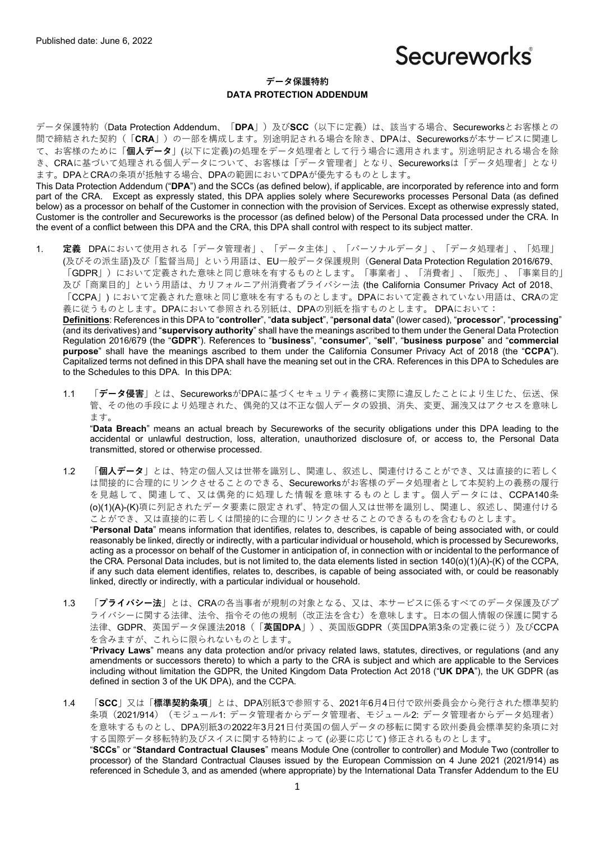# Secureworks

# **データ保護特約 DATA PROTECTION ADDENDUM**

データ保護特約 (Data Protection Addendum、「DPA」)及びSCC (以下に定義)は、該当する場合、Secureworksとお客様との 間で締結された契約(「**CRA**」)の⼀部を構成します。別途明記される場合を除き、DPAは、Secureworksが本サービスに関連し て、お客様のために「**個⼈データ**」(以下に定義)の処理をデータ処理者として⾏う場合に適⽤されます。別途明記される場合を除 き、CRAに基づいて処理される個⼈データについて、お客様は「データ管理者」となり、Secureworksは「データ処理者」となり ます。DPAとCRAの条項が抵触する場合、DPAの範囲においてDPAが優先するものとします。 This Data Protection Addendum ("**DPA**") and the SCCs (as defined below), if applicable, are incorporated by reference into and form part of the CRA. Except as expressly stated, this DPA applies solely where Secureworks processes Personal Data (as defined

below) as a processor on behalf of the Customer in connection with the provision of Services. Except as otherwise expressly stated, Customer is the controller and Secureworks is the processor (as defined below) of the Personal Data processed under the CRA. In the event of a conflict between this DPA and the CRA, this DPA shall control with respect to its subject matter.

1. **定義** DPAにおいて使⽤される「データ管理者」、「データ主体」、「パーソナルデータ」、「データ処理者」、「処理」 (及びその派生語)及び「監督当局」という用語は、EU一般データ保護規則 (General Data Protection Regulation 2016/679、 「GDPR」)において定義された意味と同じ意味を有するものとします。「事業者」、「消費者」、「販売」、「事業目的」 及び「商業目的」という用語は、カリフォルニア州消費者プライバシー法 (the California Consumer Privacy Act of 2018、 「CCPA」)において定義された意味と同じ意味を有するものとします。DPAにおいて定義されていない用語は、CRAの定 義に従うものとします。DPAにおいて参照される別紙は、DPAの別紙を指すものとします。 DPAにおいて:

**Definitions**: References in this DPA to "**controller**", "**data subject**", "**personal data**" (lower cased), "**processor**", "**processing**" (and its derivatives) and "**supervisory authority**" shall have the meanings ascribed to them under the General Data Protection Regulation 2016/679 (the "**GDPR**"). References to "**business**", "**consumer**", "**sell**", "**business purpose**" and "**commercial purpose**" shall have the meanings ascribed to them under the California Consumer Privacy Act of 2018 (the "**CCPA**"). Capitalized terms not defined in this DPA shall have the meaning set out in the CRA. References in this DPA to Schedules are to the Schedules to this DPA. In this DPA:

1.1 「データ侵害」とは、SecureworksがDPAに基づくセキュリティ義務に実際に違反したことにより生じた、伝送、保 管、その他の手段により処理された、偶発的又は不正な個人データの毀損、消失、変更、漏洩又はアクセスを意味し ます。

"**Data Breach**" means an actual breach by Secureworks of the security obligations under this DPA leading to the accidental or unlawful destruction, loss, alteration, unauthorized disclosure of, or access to, the Personal Data transmitted, stored or otherwise processed.

- 1.2 「**個⼈データ**」とは、特定の個⼈⼜は世帯を識別し、関連し、叙述し、関連付けることができ、⼜は直接的に若しく は間接的に合理的にリンクさせることのできる、Secureworksがお客様のデータ処理者として本契約上の義務の履行 を見越して、関連して、又は偶発的に処理した情報を意味するものとします。個人データには、CCPA140条 (o)(1)(A)-(K)項に列記されたデータ要素に限定されず、特定の個⼈⼜は世帯を識別し、関連し、叙述し、関連付ける ことができ、又は直接的に若しくは間接的に合理的にリンクさせることのできるものを含むものとします。 "**Personal Data**" means information that identifies, relates to, describes, is capable of being associated with, or could reasonably be linked, directly or indirectly, with a particular individual or household, which is processed by Secureworks, acting as a processor on behalf of the Customer in anticipation of, in connection with or incidental to the performance of the CRA. Personal Data includes, but is not limited to, the data elements listed in section 140(o)(1)(A)-(K) of the CCPA, if any such data element identifies, relates to, describes, is capable of being associated with, or could be reasonably linked, directly or indirectly, with a particular individual or household.
- 1.3 「プライバシー法」とは、CRAの各当事者が規制の対象となる、又は、本サービスに係るすべてのデータ保護及びプ ライバシーに関する法律、法令、指令その他の規制(改正法を含む)を意味します。⽇本の個⼈情報の保護に関する 法律、GDPR、英国データ保護法2018(「**英国DPA**」)、英国版GDPR(英国DPA第3条の定義に従う)及びCCPA を含みますが、これらに限られないものとします。

"**Privacy Laws**" means any data protection and/or privacy related laws, statutes, directives, or regulations (and any amendments or successors thereto) to which a party to the CRA is subject and which are applicable to the Services including without limitation the GDPR, the United Kingdom Data Protection Act 2018 ("**UK DPA**"), the UK GDPR (as defined in section 3 of the UK DPA), and the CCPA.

1.4 「SCC」又は「標準契約条項」とは、DPA別紙3で参照する、2021年6月4日付で欧州委員会から発行された標準契約 条項 (2021/914) (モジュール1: データ管理者からデータ管理者、モジュール2: データ管理者からデータ処理者) を意味するものとし、DPA別紙3の2022年3月21日付英国の個人データの移転に関する欧州委員会標準契約条項に対 する国際データ移転特約及びスイスに関する特約によって (必要に応じて) 修正されるものとします。

"**SCCs**" or "**Standard Contractual Clauses**" means Module One (controller to controller) and Module Two (controller to processor) of the Standard Contractual Clauses issued by the European Commission on 4 June 2021 (2021/914) as referenced in Schedule 3, and as amended (where appropriate) by the International Data Transfer Addendum to the EU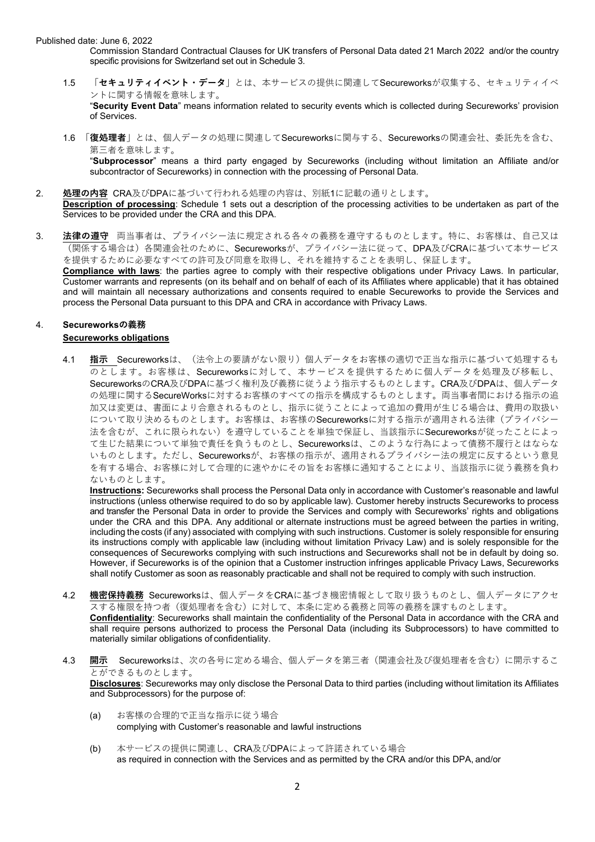Commission Standard Contractual Clauses for UK transfers of Personal Data dated 21 March 2022 and/or the country specific provisions for Switzerland set out in Schedule 3.

- 1.5 「**セキュリティイベント・データ**」とは、本サービスの提供に関連してSecureworksが収集する、セキュリティイベ ントに関する情報を意味します。 "**Security Event Data**" means information related to security events which is collected during Secureworks' provision of Services.
- 1.6 「**復処理者**」とは、個⼈データの処理に関連してSecureworksに関与する、Secureworksの関連会社、委託先を含む、 第三者を意味します。 "**Subprocessor**" means a third party engaged by Secureworks (including without limitation an Affiliate and/or subcontractor of Secureworks) in connection with the processing of Personal Data.
- 2. **処理の内容** CRA及びDPAに基づいて⾏われる処理の内容は、別紙1に記載の通りとします。 **Description of processing**: Schedule 1 sets out a description of the processing activities to be undertaken as part of the Services to be provided under the CRA and this DPA.
- 3. 法律の遵守 両当事者は、プライバシー法に規定される各々の義務を遵守するものとします。特に、お客様は、自己又は (関係する場合は)各関連会社のために、Secureworksが、プライバシー法に従って、DPA及びCRAに基づいて本サービス を提供するために必要なすべての許可及び同意を取得し、それを維持することを表明し、保証します。 **Compliance with laws**: the parties agree to comply with their respective obligations under Privacy Laws. In particular,

Customer warrants and represents (on its behalf and on behalf of each of its Affiliates where applicable) that it has obtained and will maintain all necessary authorizations and consents required to enable Secureworks to provide the Services and process the Personal Data pursuant to this DPA and CRA in accordance with Privacy Laws.

#### 4. **Secureworksの義務 Secureworks obligations**

4.1 指示 Secureworksは、(法令上の要請がない限り)個人データをお客様の適切で正当な指示に基づいて処理するも のとします。お客様は、Secureworksに対して、本サービスを提供するために個⼈データを処理及び移転し、 SecureworksのCRA及びDPAに基づく権利及び義務に従うよう指示するものとします。CRA及びDPAは、個人データ の処理に関するSecureWorksに対するお客様のすべての指示を構成するものとします。両当事者間における指示の追 加又は変更は、書面により合意されるものとし、指示に従うことによって追加の費用が生じる場合は、費用の取扱い について取り決めるものとします。お客様は、お客様のSecureworksに対する指示が適用される法律(プライバシー 法を含むが、これに限られない)を遵守していることを単独で保証し、当該指示にSecureworksが従ったことによっ て⽣じた結果について単独で責任を負うものとし、Secureworksは、このような⾏為によって債務不履⾏とはならな いものとします。ただし、Secureworksが、お客様の指示が、適用されるプライバシー法の規定に反するという意見 を有する場合、お客様に対して合理的に速やかにその旨をお客様に通知することにより、当該指示に従う義務を負わ ないものとします。

**Instructions:** Secureworks shall process the Personal Data only in accordance with Customer's reasonable and lawful instructions (unless otherwise required to do so by applicable law). Customer hereby instructs Secureworks to process and transfer the Personal Data in order to provide the Services and comply with Secureworks' rights and obligations under the CRA and this DPA. Any additional or alternate instructions must be agreed between the parties in writing, including the costs (if any) associated with complying with such instructions. Customer is solely responsible for ensuring its instructions comply with applicable law (including without limitation Privacy Law) and is solely responsible for the consequences of Secureworks complying with such instructions and Secureworks shall not be in default by doing so. However, if Secureworks is of the opinion that a Customer instruction infringes applicable Privacy Laws, Secureworks shall notify Customer as soon as reasonably practicable and shall not be required to comply with such instruction.

4.2 **機密保持義務** Secureworksは、個⼈データをCRAに基づき機密情報として取り扱うものとし、個⼈データにアクセ スする権限を持つ者(復処理者を含む)に対して、本条に定める義務と同等の義務を課すものとします。

**Confidentiality**: Secureworks shall maintain the confidentiality of the Personal Data in accordance with the CRA and shall require persons authorized to process the Personal Data (including its Subprocessors) to have committed to materially similar obligations of confidentiality.

4.3 開示 Secureworksは、次の各号に定める場合、個人データを第三者(関連会社及び復処理者を含む)に開示するこ とができるものとします。

**Disclosures**: Secureworks may only disclose the Personal Data to third parties (including without limitation its Affiliates and Subprocessors) for the purpose of:

- (a) お客様の合理的で正当な指⽰に従う場合 complying with Customer's reasonable and lawful instructions
- (b) 本サービスの提供に関連し、CRA及びDPAによって許諾されている場合 as required in connection with the Services and as permitted by the CRA and/or this DPA, and/or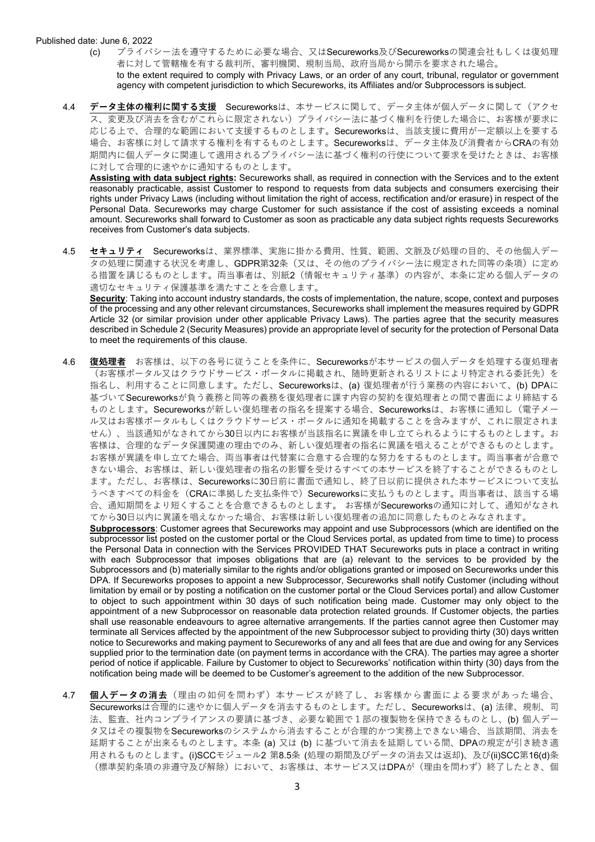- (c) プライバシー法を遵守するために必要な場合、⼜はSecureworks及びSecureworksの関連会社もしくは復処理 者に対して管轄権を有する裁判所、審判機関、規制当局、政府当局から開⽰を要求された場合。 to the extent required to comply with Privacy Laws, or an order of any court, tribunal, regulator or government agency with competent jurisdiction to which Secureworks, its Affiliates and/or Subprocessors is subject.
- 4.4 データ主体の権利に関する支援 Secureworksは、本サービスに関して、データ主体が個人データに関して(アクセ ス、変更及び消去を含むがこれらに限定されない)プライバシー法に基づく権利を⾏使した場合に、お客様が要求に 応じる上で、合理的な範囲において支援するものとします。Secureworksは、当該支援に費用が一定額以上を要する 場合、お客様に対して請求する権利を有するものとします。Secureworksは、データ主体及び消費者からCRAの有効 期間内に個⼈データに関連して適⽤されるプライバシー法に基づく権利の⾏使について要求を受けたときは、お客様 に対して合理的に速やかに通知するものとします。

**Assisting with data subject rights:** Secureworks shall, as required in connection with the Services and to the extent reasonably practicable, assist Customer to respond to requests from data subjects and consumers exercising their rights under Privacy Laws (including without limitation the right of access, rectification and/or erasure) in respect of the Personal Data. Secureworks may charge Customer for such assistance if the cost of assisting exceeds a nominal amount. Secureworks shall forward to Customer as soon as practicable any data subject rights requests Secureworks receives from Customer's data subjects.

4.5 セキュリティ Secureworksは、業界標準、実施に掛かる費用、性質、範囲、文脈及び処理の目的、その他個人デー タの処理に関連する状況を考慮し、GDPR第32条(又は、その他のプライバシー法に規定された同等の条項)に定め る措置を講じるものとします。両当事者は、別紙2(情報セキュリティ基準)の内容が、本条に定める個⼈データの 適切なセキュリティ保護基準を満たすことを合意します。

**Security**: Taking into account industry standards, the costs of implementation, the nature, scope, context and purposes of the processing and any other relevant circumstances, Secureworks shall implement the measures required by GDPR Article 32 (or similar provision under other applicable Privacy Laws). The parties agree that the security measures described in Schedule 2 (Security Measures) provide an appropriate level of security for the protection of Personal Data to meet the requirements of this clause.

4.6 **復処理者** お客様は、以下の各号に従うことを条件に、Secureworksが本サービスの個⼈データを処理する復処理者 (お客様ポータル⼜はクラウドサービス・ポータルに掲載され、随時更新されるリストにより特定される委託先)を 指名し、利用することに同意します。ただし、Secureworksは、(a) 復処理者が行う業務の内容において、(b) DPAに 基づいてSecureworksが負う義務と同等の義務を復処理者に課す内容の契約を復処理者との間で書⾯により締結する ものとします。Secureworksが新しい復処理者の指名を提案する場合、Secureworksは、お客様に通知し(電子メー ル⼜はお客様ポータルもしくはクラウドサービス・ポータルに通知を掲載することを含みますが、これに限定されま せん)、当該通知がなされてから30⽇以内にお客様が当該指名に異議を申し⽴てられるようにするものとします。お 客様は、合理的なデータ保護関連の理由でのみ、新しい復処理者の指名に異議を唱えることができるものとします。 お客様が異議を申し立てた場合、両当事者は代替案に合意する合理的な努力をするものとします。両当事者が合意で きない場合、お客様は、新しい復処理者の指名の影響を受けるすべての本サービスを終了することができるものとし ます。ただし、お客様は、Secureworksに30日前に書面で通知し、終了日以前に提供された本サービスについて支払 うべきすべての料金を (CRAに準拠した支払条件で) Secureworksに支払うものとします。両当事者は、該当する場 合、通知期間をより短くすることを合意できるものとします。 お客様がSecureworksの通知に対して、通知がなされ てから30⽇以内に異議を唱えなかった場合、お客様は新しい復処理者の追加に同意したものとみなされます。

**Subprocessors**: Customer agrees that Secureworks may appoint and use Subprocessors (which are identified on the subprocessor list posted on the customer portal or the Cloud Services portal, as updated from time to time) to process the Personal Data in connection with the Services PROVIDED THAT Secureworks puts in place a contract in writing with each Subprocessor that imposes obligations that are (a) relevant to the services to be provided by the Subprocessors and (b) materially similar to the rights and/or obligations granted or imposed on Secureworks under this DPA. If Secureworks proposes to appoint a new Subprocessor, Secureworks shall notify Customer (including without limitation by email or by posting a notification on the customer portal or the Cloud Services portal) and allow Customer to object to such appointment within 30 days of such notification being made. Customer may only object to the appointment of a new Subprocessor on reasonable data protection related grounds. If Customer objects, the parties shall use reasonable endeavours to agree alternative arrangements. If the parties cannot agree then Customer may terminate all Services affected by the appointment of the new Subprocessor subject to providing thirty (30) days written notice to Secureworks and making payment to Secureworks of any and all fees that are due and owing for any Services supplied prior to the termination date (on payment terms in accordance with the CRA). The parties may agree a shorter period of notice if applicable. Failure by Customer to object to Secureworks' notification within thirty (30) days from the notification being made will be deemed to be Customer's agreement to the addition of the new Subprocessor.

4.7 **個⼈データの消去**(理由の如何を問わず)本サービスが終了し、お客様から書⾯による要求があった場合、 Secureworksは合理的に速やかに個⼈データを消去するものとします。ただし、Secureworksは、(a) 法律、規制、司 法、監査、社内コンプライアンスの要請に基づき、必要な範囲で1部の複製物を保持できるものとし、(b) 個人デー タ⼜はその複製物をSecureworksのシステムから消去することが合理的かつ実務上できない場合、当該期間、消去を 延期することが出来るものとします。本条 (a) 又は (b) に基づいて消去を延期している間、DPAの規定が引き続き適 用されるものとします。(i)SCCモジュール2 第8.5条 (処理の期間及びデータの消去又は返却)、及び(ii)SCC第16(d)条 (標準契約条項の非遵守及び解除)において、お客様は、本サービス又はDPAが(理由を問わず)終了したとき、個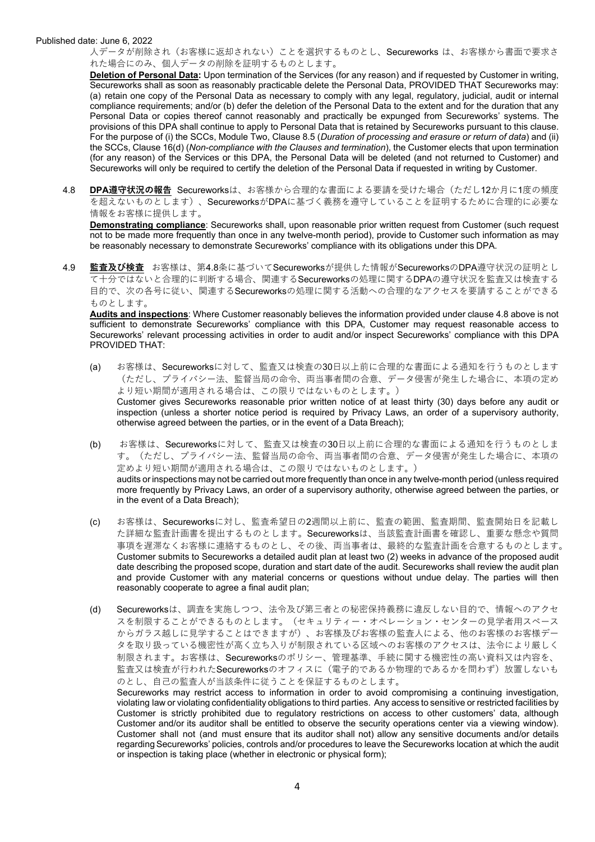人データが削除され(お客様に返却されない)ことを選択するものとし、Secureworks は、お客様から書面で要求さ れた場合にのみ、個⼈データの削除を証明するものとします。

**Deletion of Personal Data:** Upon termination of the Services (for any reason) and if requested by Customer in writing, Secureworks shall as soon as reasonably practicable delete the Personal Data, PROVIDED THAT Secureworks may: (a) retain one copy of the Personal Data as necessary to comply with any legal, regulatory, judicial, audit or internal compliance requirements; and/or (b) defer the deletion of the Personal Data to the extent and for the duration that any Personal Data or copies thereof cannot reasonably and practically be expunged from Secureworks' systems. The provisions of this DPA shall continue to apply to Personal Data that is retained by Secureworks pursuant to this clause. For the purpose of (i) the SCCs, Module Two, Clause 8.5 (*Duration of processing and erasure or return of data*) and (ii) the SCCs, Clause 16(d) (*Non-compliance with the Clauses and termination*), the Customer elects that upon termination (for any reason) of the Services or this DPA, the Personal Data will be deleted (and not returned to Customer) and Secureworks will only be required to certify the deletion of the Personal Data if requested in writing by Customer.

4.8 DPA遵守状況の報告 Secureworksは、お客様から合理的な書面による要請を受けた場合(ただし12か月に1度の頻度 を超えないものとします)、SecureworksがDPAに基づく義務を遵守していることを証明するために合理的に必要な 情報をお客様に提供します。

**Demonstrating compliance**: Secureworks shall, upon reasonable prior written request from Customer (such request not to be made more frequently than once in any twelve-month period), provide to Customer such information as may be reasonably necessary to demonstrate Secureworks' compliance with its obligations under this DPA.

4.9 **監査及び検査** お客様は、第4.8条に基づいてSecureworksが提供した情報がSecureworksのDPA遵守状況の証明とし  $\overline{\phantom{a}}$ て十分ではないと合理的に判断する場合、関連するSecureworksの処理に関するDPAの遵守状況を監査又は検査する 目的で、次の各号に従い、関連するSecureworksの処理に関する活動への合理的なアクセスを要請することができる ものとします。

**Audits and inspections**: Where Customer reasonably believes the information provided under clause 4.8 above is not sufficient to demonstrate Secureworks' compliance with this DPA, Customer may request reasonable access to Secureworks' relevant processing activities in order to audit and/or inspect Secureworks' compliance with this DPA PROVIDED THAT:

- (a) お客様は、Secureworksに対して、監査⼜は検査の30⽇以上前に合理的な書⾯による通知を⾏うものとします (ただし、プライバシー法、監督当局の命令、両当事者間の合意、データ侵害が発⽣した場合に、本項の定め より短い期間が適⽤される場合は、この限りではないものとします。) Customer gives Secureworks reasonable prior written notice of at least thirty (30) days before any audit or inspection (unless a shorter notice period is required by Privacy Laws, an order of a supervisory authority, otherwise agreed between the parties, or in the event of a Data Breach);
- (b) お客様は、Secureworksに対して、監査⼜は検査の30⽇以上前に合理的な書⾯による通知を⾏うものとしま す。(ただし、プライバシー法、監督当局の命令、両当事者間の合意、データ侵害が発⽣した場合に、本項の 定めより短い期間が適用される場合は、この限りではないものとします。) audits or inspections may not be carried out more frequently than once in any twelve-month period (unless required more frequently by Privacy Laws, an order of a supervisory authority, otherwise agreed between the parties, or in the event of a Data Breach);
- (c) お客様は、Secureworksに対し、監査希望⽇の2週間以上前に、監査の範囲、監査期間、監査開始⽇を記載し た詳細な監査計画書を提出するものとします。Secureworksは、当該監査計画書を確認し、重要な懸念や質問 事項を遅滞なくお客様に連絡するものとし、その後、両当事者は、最終的な監査計画を合意するものとします。 Customer submits to Secureworks a detailed audit plan at least two (2) weeks in advance of the proposed audit date describing the proposed scope, duration and start date of the audit. Secureworks shall review the audit plan and provide Customer with any material concerns or questions without undue delay. The parties will then reasonably cooperate to agree a final audit plan;
- (d) Secureworksは、調査を実施しつつ、法令及び第三者との秘密保持義務に違反しない⽬的で、情報へのアクセ スを制限することができるものとします。(セキュリティー・オペレーション・センターの見学者用スペース からガラス越しに⾒学することはできますが)、お客様及びお客様の監査⼈による、他のお客様のお客様デー タを取り扱っている機密性が高く立ち入りが制限されている区域へのお客様のアクセスは、法令により厳しく 制限されます。お客様は、Secureworksのポリシー、管理基準、手続に関する機密性の高い資料又は内容を、 監査又は検査が行われたSecureworksのオフィスに(電子的であるか物理的であるかを問わず)放置しないも のとし、自己の監査人が当該条件に従うことを保証するものとします。 Secureworks may restrict access to information in order to avoid compromising a continuing investigation, violating law or violating confidentiality obligations to third parties. Any access to sensitive or restricted facilities by Customer is strictly prohibited due to regulatory restrictions on access to other customers' data, although Customer and/or its auditor shall be entitled to observe the security operations center via a viewing window). Customer shall not (and must ensure that its auditor shall not) allow any sensitive documents and/or details

regarding Secureworks' policies, controls and/or procedures to leave the Secureworks location at which the audit

or inspection is taking place (whether in electronic or physical form);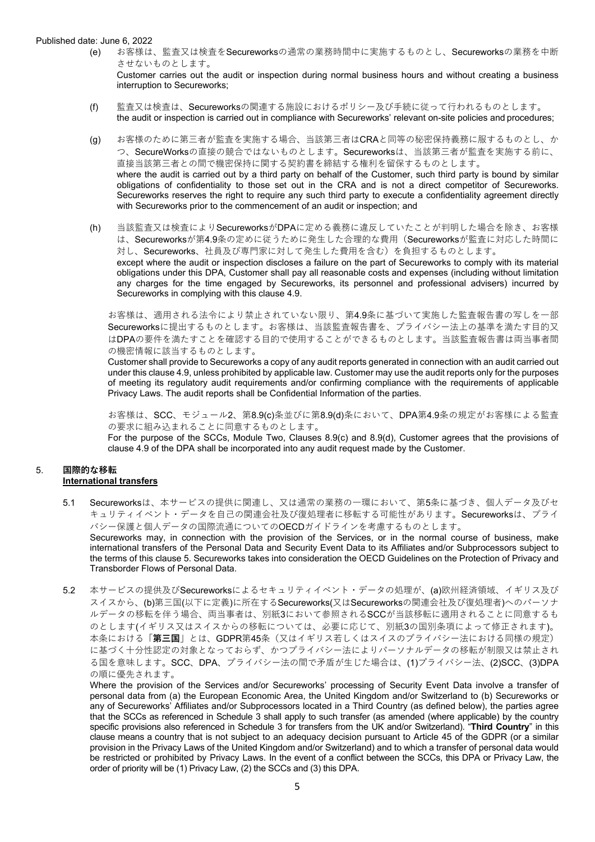(e) お客様は、監査⼜は検査をSecureworksの通常の業務時間中に実施するものとし、Secureworksの業務を中断 させないものとします。

Customer carries out the audit or inspection during normal business hours and without creating a business interruption to Secureworks;

- (f) 監査⼜は検査は、Secureworksの関連する施設におけるポリシー及び⼿続に従って⾏われるものとします。 the audit or inspection is carried out in compliance with Secureworks' relevant on-site policies and procedures;
- (g) お客様のために第三者が監査を実施する場合、当該第三者はCRAと同等の秘密保持義務に服するものとし、か つ、SecureWorksの直接の競合ではないものとします。Secureworksは、当該第三者が監査を実施する前に、 直接当該第三者との間で機密保持に関する契約書を締結する権利を留保するものとします。 where the audit is carried out by a third party on behalf of the Customer, such third party is bound by similar obligations of confidentiality to those set out in the CRA and is not a direct competitor of Secureworks. Secureworks reserves the right to require any such third party to execute a confidentiality agreement directly with Secureworks prior to the commencement of an audit or inspection; and
- (h) 当該監査⼜は検査によりSecureworksがDPAに定める義務に違反していたことが判明した場合を除き、お客様 は、Secureworksが第4.9条の定めに従うために発生した合理的な費用 (Secureworksが監査に対応した時間に 対し、Secureworks、社員及び専門家に対して発生した費用を含む)を負担するものとします。 except where the audit or inspection discloses a failure on the part of Secureworks to comply with its material obligations under this DPA, Customer shall pay all reasonable costs and expenses (including without limitation any charges for the time engaged by Secureworks, its personnel and professional advisers) incurred by Secureworks in complying with this clause 4.9.

お客様は、適用される法令により禁止されていない限り、第4.9条に基づいて実施した監査報告書の写しを一部 Secureworksに提出するものとします。お客様は、当該監査報告書を、プライバシー法上の基準を満たす目的又 はDPAの要件を満たすことを確認する⽬的で使⽤することができるものとします。当該監査報告書は両当事者間 の機密情報に該当するものとします。

Customer shall provide to Secureworks a copy of any audit reports generated in connection with an audit carried out under this clause 4.9, unless prohibited by applicable law. Customer may use the audit reports only for the purposes of meeting its regulatory audit requirements and/or confirming compliance with the requirements of applicable Privacy Laws. The audit reports shall be Confidential Information of the parties.

お客様は、SCC、モジュール2、第8.9(c)条並びに第8.9(d)条において、DPA第4.9条の規定がお客様による監査 の要求に組み込まれることに同意するものとします。

For the purpose of the SCCs, Module Two, Clauses 8.9(c) and 8.9(d), Customer agrees that the provisions of clause 4.9 of the DPA shall be incorporated into any audit request made by the Customer.

#### 5. **国際的な移転 International transfers**

- 5.1 Secureworksは、本サービスの提供に関連し、又は通常の業務の一環において、第5条に基づき、個人データ及びセ キュリティイベント・データを⾃⼰の関連会社及び復処理者に移転する可能性があります。Secureworksは、プライ バシー保護と個⼈データの国際流通についてのOECDガイドラインを考慮するものとします。 Secureworks may, in connection with the provision of the Services, or in the normal course of business, make international transfers of the Personal Data and Security Event Data to its Affiliates and/or Subprocessors subject to the terms of this clause 5. Secureworks takes into consideration the OECD Guidelines on the Protection of Privacy and Transborder Flows of Personal Data.
- 5.2 本サービスの提供及びSecureworksによるセキュリティイベント・データの処理が、(a)欧州経済領域、イギリス及び スイスから、(b)第三国(以下に定義)に所在するSecureworks(又はSecureworksの関連会社及び復処理者)へのパーソナ ルデータの移転を伴う場合、両当事者は、別紙3において参照されるSCCが当該移転に適用されることに同意するも のとします(イギリス⼜はスイスからの移転については、必要に応じて、別紙3の国別条項によって修正されます)。 本条における「**第三国**」とは、GDPR第45条(⼜はイギリス若しくはスイスのプライバシー法における同様の規定) に基づく十分性認定の対象となっておらず、かつプライバシー法によりパーソナルデータの移転が制限又は禁止され る国を意味します。SCC、DPA、プライバシー法の間で矛盾が生じた場合は、(1)プライバシー法、(2)SCC、(3)DPA の順に優先されます。

Where the provision of the Services and/or Secureworks' processing of Security Event Data involve a transfer of personal data from (a) the European Economic Area, the United Kingdom and/or Switzerland to (b) Secureworks or any of Secureworks' Affiliates and/or Subprocessors located in a Third Country (as defined below), the parties agree that the SCCs as referenced in Schedule 3 shall apply to such transfer (as amended (where applicable) by the country specific provisions also referenced in Schedule 3 for transfers from the UK and/or Switzerland). "**Third Country**" in this clause means a country that is not subject to an adequacy decision pursuant to Article 45 of the GDPR (or a similar provision in the Privacy Laws of the United Kingdom and/or Switzerland) and to which a transfer of personal data would be restricted or prohibited by Privacy Laws. In the event of a conflict between the SCCs, this DPA or Privacy Law, the order of priority will be (1) Privacy Law, (2) the SCCs and (3) this DPA.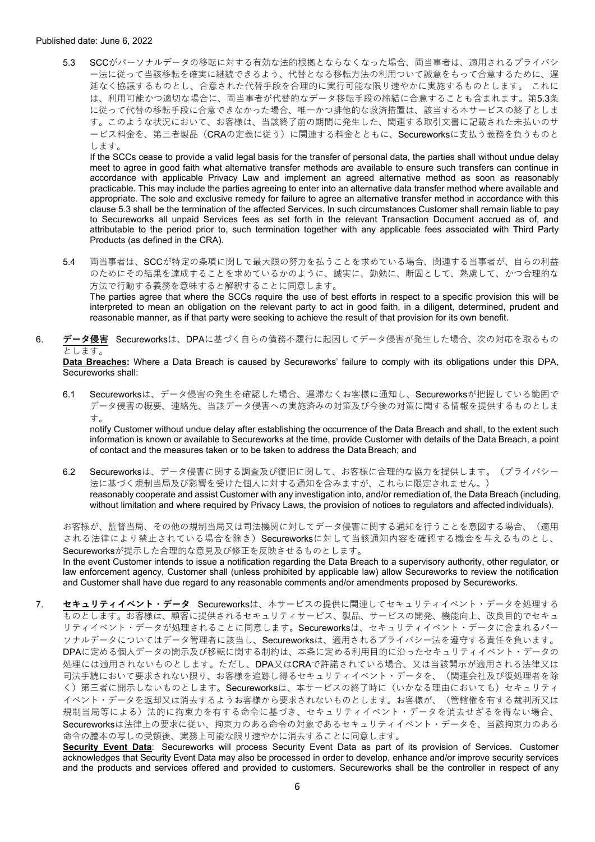5.3 SCCがパーソナルデータの移転に対する有効な法的根拠とならなくなった場合、両当事者は、適用されるプライバシ ー法に従って当該移転を確実に継続できるよう、代替となる移転⽅法の利⽤ついて誠意をもって合意するために、遅 延なく協議するものとし、合意された代替⼿段を合理的に実⾏可能な限り速やかに実施するものとします。 これに は、利用可能かつ適切な場合に、両当事者が代替的なデータ移転手段の締結に合意することも含まれます。第5.3条 に従って代替の移転⼿段に合意できなかった場合、唯⼀かつ排他的な救済措置は、該当する本サービスの終了としま す。このような状況において、お客様は、当該終了前の期間に発⽣した、関連する取引⽂書に記載された未払いのサ  $-$ ビス料金を、第三者製品 (CRAの定義に従う)に関連する料金とともに、Secureworksに支払う義務を負うものと します。

If the SCCs cease to provide a valid legal basis for the transfer of personal data, the parties shall without undue delay meet to agree in good faith what alternative transfer methods are available to ensure such transfers can continue in accordance with applicable Privacy Law and implement an agreed alternative method as soon as reasonably practicable. This may include the parties agreeing to enter into an alternative data transfer method where available and appropriate. The sole and exclusive remedy for failure to agree an alternative transfer method in accordance with this clause 5.3 shall be the termination of the affected Services. In such circumstances Customer shall remain liable to pay to Secureworks all unpaid Services fees as set forth in the relevant Transaction Document accrued as of, and attributable to the period prior to, such termination together with any applicable fees associated with Third Party Products (as defined in the CRA).

5.4 両当事者は、SCCが特定の条項に関して最大限の努力を払うことを求めている場合、関連する当事者が、自らの利益 のためにその結果を達成することを求めているかのように、誠実に、勤勉に、断固として、熟慮して、かつ合理的な 方法で行動する義務を意味すると解釈することに同意します。 The parties agree that where the SCCs require the use of best efforts in respect to a specific provision this will be

interpreted to mean an obligation on the relevant party to act in good faith, in a diligent, determined, prudent and reasonable manner, as if that party were seeking to achieve the result of that provision for its own benefit.

6. **データ侵害** Secureworksは、DPAに基づく⾃らの債務不履⾏に起因してデータ侵害が発⽣した場合、次の対応を取るもの とします。

**Data Breaches:** Where a Data Breach is caused by Secureworks' failure to comply with its obligations under this DPA, Secureworks shall:

6.1 Secureworksは、データ侵害の発⽣を確認した場合、遅滞なくお客様に通知し、Secureworksが把握している範囲で データ侵害の概要、連絡先、当該データ侵害への実施済みの対策及び今後の対策に関する情報を提供するものとしま す。

notify Customer without undue delay after establishing the occurrence of the Data Breach and shall, to the extent such information is known or available to Secureworks at the time, provide Customer with details of the Data Breach, a point of contact and the measures taken or to be taken to address the Data Breach; and

6.2 Secureworksは、データ侵害に関する調査及び復旧に関して、お客様に合理的な協力を提供します。(プライバシー 法に基づく規制当局及び影響を受けた個⼈に対する通知を含みますが、これらに限定されません。) reasonably cooperate and assist Customer with any investigation into, and/or remediation of, the Data Breach (including, without limitation and where required by Privacy Laws, the provision of notices to regulators and affected individuals).

お客様が、監督当局、その他の規制当局又は司法機関に対してデータ侵害に関する通知を行うことを意図する場合、(適用 される法律により禁止されている場合を除き)Secureworksに対して当該通知内容を確認する機会を与えるものとし、 Secureworksが提示した合理的な意見及び修正を反映させるものとします。

In the event Customer intends to issue a notification regarding the Data Breach to a supervisory authority, other regulator, or law enforcement agency, Customer shall (unless prohibited by applicable law) allow Secureworks to review the notification and Customer shall have due regard to any reasonable comments and/or amendments proposed by Secureworks.

7. **セキュリティイベント・データ** Secureworksは、本サービスの提供に関連してセキュリティイベント・データを処理する ものとします。お客様は、顧客に提供されるセキュリティサービス、製品、サービスの開発、機能向上、改良⽬的でセキュ リティイベント・データが処理されることに同意します。Secureworksは、セキュリティイベント・データに含まれるパー ソナルデータについてはデータ管理者に該当し、Secureworksは、適⽤されるプライバシー法を遵守する責任を負います。 DPAに定める個人データの開示及び移転に関する制約は、本条に定める利用目的に沿ったセキュリティイベント・データの 処理には適用されないものとします。ただし、DPA又はCRAで許諾されている場合、又は当該開示が適用される法律又は 司法手続において要求されない限り、お客様を追跡し得るセキュリティイベント・データを、(関連会社及び復処理者を除 く)第三者に開示しないものとします。Secureworksは、本サービスの終了時に(いかなる理由においても)セキュリティ イベント・データを返却⼜は消去するようお客様から要求されないものとします。お客様が、(管轄権を有する裁判所⼜は 規制当局等による)法的に拘束力を有する命令に基づき、セキュリティイベント・データを消去せざるを得ない場合、 Secureworksは法律上の要求に従い、拘束力のある命令の対象であるセキュリティイベント・データを、当該拘束力のある 命令の謄本の写しの受領後、実務上可能な限り速やかに消去することに同意します。

**Security Event Data**: Secureworks will process Security Event Data as part of its provision of Services. Customer acknowledges that Security Event Data may also be processed in order to develop, enhance and/or improve security services and the products and services offered and provided to customers. Secureworks shall be the controller in respect of any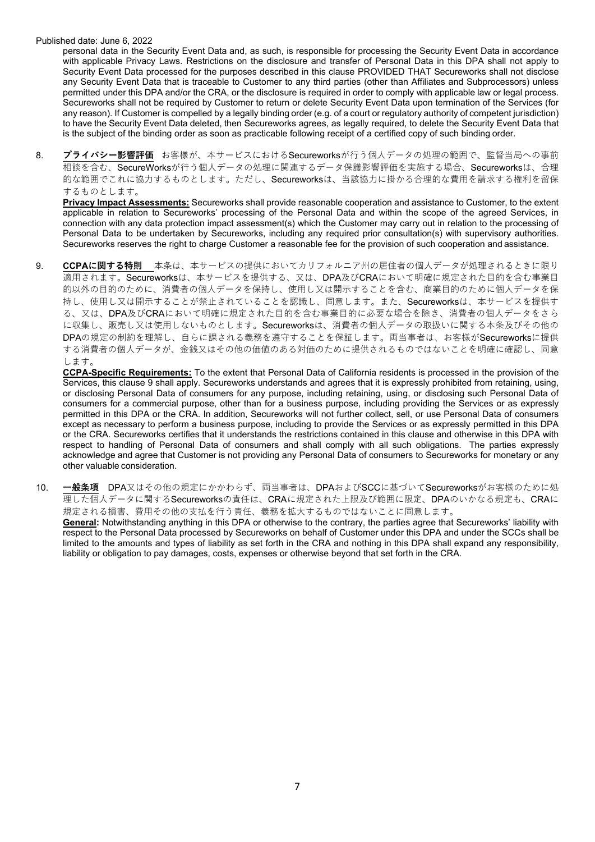personal data in the Security Event Data and, as such, is responsible for processing the Security Event Data in accordance with applicable Privacy Laws. Restrictions on the disclosure and transfer of Personal Data in this DPA shall not apply to Security Event Data processed for the purposes described in this clause PROVIDED THAT Secureworks shall not disclose any Security Event Data that is traceable to Customer to any third parties (other than Affiliates and Subprocessors) unless permitted under this DPA and/or the CRA, or the disclosure is required in order to comply with applicable law or legal process. Secureworks shall not be required by Customer to return or delete Security Event Data upon termination of the Services (for any reason). If Customer is compelled by a legally binding order (e.g. of a court or regulatory authority of competent jurisdiction) to have the Security Event Data deleted, then Secureworks agrees, as legally required, to delete the Security Event Data that is the subject of the binding order as soon as practicable following receipt of a certified copy of such binding order.

8. プライバシー影響評価 お客様が、本サービスにおけるSecureworksが行う個人データの処理の範囲で、監督当局への事前 相談を含む、SecureWorksが⾏う個⼈データの処理に関連するデータ保護影響評価を実施する場合、Secureworksは、合理 的な範囲でこれに協力するものとします。ただし、Secureworksは、当該協力に掛かる合理的な費用を請求する権利を留保 するものとします。

**Privacy Impact Assessments:** Secureworks shall provide reasonable cooperation and assistance to Customer, to the extent applicable in relation to Secureworks' processing of the Personal Data and within the scope of the agreed Services, in connection with any data protection impact assessment(s) which the Customer may carry out in relation to the processing of Personal Data to be undertaken by Secureworks, including any required prior consultation(s) with supervisory authorities. Secureworks reserves the right to charge Customer a reasonable fee for the provision of such cooperation and assistance.

9. **CCPAに関する特則** 本条は、本サービスの提供においてカリフォルニア州の居住者の個⼈データが処理されるときに限り 適用されます。Secureworksは、本サービスを提供する、又は、DPA及びCRAにおいて明確に規定された目的を含む事業目 的以外の⽬的のために、消費者の個⼈データを保持し、使⽤し⼜は開⽰することを含む、商業⽬的のために個⼈データを保 持し、使用し又は開示することが禁止されていることを認識し、同意します。また、Secureworksは、本サービスを提供す る、又は、DPA及びCRAにおいて明確に規定された目的を含む事業目的に必要な場合を除き、消費者の個人データをさら に収集し、販売し又は使用しないものとします。Secureworksは、消費者の個人データの取扱いに関する本条及びその他の **DPA**の規定の制約を理解し、自らに課される義務を遵守することを保証します。両当事者は、お客様がSecureworksに提供 する消費者の個⼈データが、⾦銭⼜はその他の価値のある対価のために提供されるものではないことを明確に確認し、同意 します。

**CCPA-Specific Requirements:** To the extent that Personal Data of California residents is processed in the provision of the Services, this clause 9 shall apply. Secureworks understands and agrees that it is expressly prohibited from retaining, using, or disclosing Personal Data of consumers for any purpose, including retaining, using, or disclosing such Personal Data of consumers for a commercial purpose, other than for a business purpose, including providing the Services or as expressly permitted in this DPA or the CRA. In addition, Secureworks will not further collect, sell, or use Personal Data of consumers except as necessary to perform a business purpose, including to provide the Services or as expressly permitted in this DPA or the CRA. Secureworks certifies that it understands the restrictions contained in this clause and otherwise in this DPA with respect to handling of Personal Data of consumers and shall comply with all such obligations. The parties expressly acknowledge and agree that Customer is not providing any Personal Data of consumers to Secureworks for monetary or any other valuable consideration.

10. **⼀般条項** DPA⼜はその他の規定にかかわらず、両当事者は、DPAおよびSCCに基づいてSecureworksがお客様のために処 理した個⼈データに関するSecureworksの責任は、CRAに規定された上限及び範囲に限定、DPAのいかなる規定も、CRAに 規定される損害、費用その他の支払を行う責任、義務を拡大するものではないことに同意します。 **General:** Notwithstanding anything in this DPA or otherwise to the contrary, the parties agree that Secureworks' liability with respect to the Personal Data processed by Secureworks on behalf of Customer under this DPA and under the SCCs shall be limited to the amounts and types of liability as set forth in the CRA and nothing in this DPA shall expand any responsibility, liability or obligation to pay damages, costs, expenses or otherwise beyond that set forth in the CRA.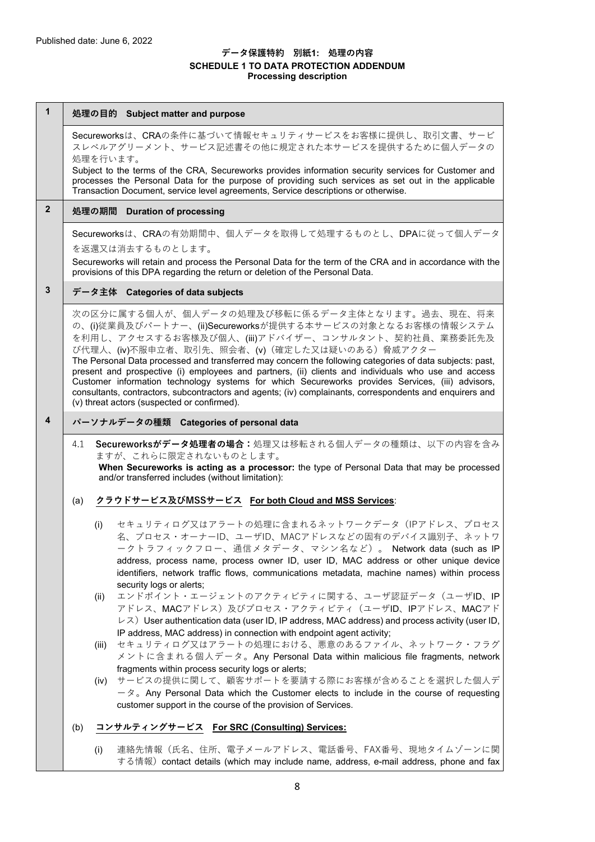## **データ保護特約 別紙1: 処理の内容 SCHEDULE 1 TO DATA PROTECTION ADDENDUM Processing description**

| 1              | 処理の目的 Subject matter and purpose                                                                                                                                                                                                                                                                                                                                                                                                                                                                                                                                                                                                                                                                       |                                                                                                                                                                                                                                                                                                                                                                                |  |
|----------------|--------------------------------------------------------------------------------------------------------------------------------------------------------------------------------------------------------------------------------------------------------------------------------------------------------------------------------------------------------------------------------------------------------------------------------------------------------------------------------------------------------------------------------------------------------------------------------------------------------------------------------------------------------------------------------------------------------|--------------------------------------------------------------------------------------------------------------------------------------------------------------------------------------------------------------------------------------------------------------------------------------------------------------------------------------------------------------------------------|--|
|                |                                                                                                                                                                                                                                                                                                                                                                                                                                                                                                                                                                                                                                                                                                        | Secureworksは、CRAの条件に基づいて情報セキュリティサービスをお客様に提供し、取引文書、サービ<br>スレベルアグリーメント、サービス記述書その他に規定された本サービスを提供するために個人データの<br>処理を行います。                                                                                                                                                                                                                                                           |  |
|                |                                                                                                                                                                                                                                                                                                                                                                                                                                                                                                                                                                                                                                                                                                        | Subject to the terms of the CRA, Secureworks provides information security services for Customer and<br>processes the Personal Data for the purpose of providing such services as set out in the applicable<br>Transaction Document, service level agreements, Service descriptions or otherwise.                                                                              |  |
| $\overline{2}$ | 処理の期間 Duration of processing                                                                                                                                                                                                                                                                                                                                                                                                                                                                                                                                                                                                                                                                           |                                                                                                                                                                                                                                                                                                                                                                                |  |
|                |                                                                                                                                                                                                                                                                                                                                                                                                                                                                                                                                                                                                                                                                                                        | Secureworksは、CRAの有効期間中、個人データを取得して処理するものとし、DPAに従って個人データ                                                                                                                                                                                                                                                                                                                         |  |
|                |                                                                                                                                                                                                                                                                                                                                                                                                                                                                                                                                                                                                                                                                                                        | を返還又は消去するものとします。<br>Secureworks will retain and process the Personal Data for the term of the CRA and in accordance with the<br>provisions of this DPA regarding the return or deletion of the Personal Data.                                                                                                                                                                  |  |
| 3              | データ主体 Categories of data subjects                                                                                                                                                                                                                                                                                                                                                                                                                                                                                                                                                                                                                                                                      |                                                                                                                                                                                                                                                                                                                                                                                |  |
|                | 次の区分に属する個人が、個人データの処理及び移転に係るデータ主体となります。過去、現在、将来<br>の、(i)従業員及びパートナー、(ii)Secureworksが提供する本サービスの対象となるお客様の情報システム<br>を利用し、アクセスするお客様及び個人、(iii)アドバイザー、コンサルタント、契約社員、業務委託先及<br>び代理人、(iv)不服申立者、取引先、照会者、(v) (確定した又は疑いのある) 脅威アクター<br>The Personal Data processed and transferred may concern the following categories of data subjects: past,<br>present and prospective (i) employees and partners, (ii) clients and individuals who use and access<br>Customer information technology systems for which Secureworks provides Services, (iii) advisors,<br>consultants, contractors, subcontractors and agents; (iv) complainants, correspondents and enquirers and<br>(v) threat actors (suspected or confirmed). |                                                                                                                                                                                                                                                                                                                                                                                |  |
| 4              | パーソナルデータの種類 Categories of personal data                                                                                                                                                                                                                                                                                                                                                                                                                                                                                                                                                                                                                                                                |                                                                                                                                                                                                                                                                                                                                                                                |  |
|                | Secureworksがデータ処理者の場合:処理又は移転される個人データの種類は、以下の内容を含み<br>4.1<br>ますが、これらに限定されないものとします。<br>When Secureworks is acting as a processor: the type of Personal Data that may be processed<br>and/or transferred includes (without limitation):                                                                                                                                                                                                                                                                                                                                                                                                                                                                   |                                                                                                                                                                                                                                                                                                                                                                                |  |
|                | クラウドサービス及びMSSサービス For both Cloud and MSS Services:<br>(a)                                                                                                                                                                                                                                                                                                                                                                                                                                                                                                                                                                                                                                              |                                                                                                                                                                                                                                                                                                                                                                                |  |
|                |                                                                                                                                                                                                                                                                                                                                                                                                                                                                                                                                                                                                                                                                                                        | セキュリティログ又はアラートの処理に含まれるネットワークデータ(IPアドレス、プロセス<br>(i)<br>名、プロセス・オーナーID、ユーザID、MACアドレスなどの固有のデバイス識別子、ネットワ<br>ークトラフィックフロー、通信メタデータ、マシン名など)。 Network data (such as IP<br>address, process name, process owner ID, user ID, MAC address or other unique device<br>identifiers, network traffic flows, communications metadata, machine names) within process<br>security logs or alerts; |  |
|                |                                                                                                                                                                                                                                                                                                                                                                                                                                                                                                                                                                                                                                                                                                        | エンドポイント・エージェントのアクティビティに関する、ユーザ認証データ(ユーザID、IP<br>(ii)<br>アドレス、MACアドレス)及びプロセス・アクティビティ(ユーザID、IPアドレス、MACアド<br>$\nu$ $\lambda$ ) User authentication data (user ID, IP address, MAC address) and process activity (user ID,<br>IP address, MAC address) in connection with endpoint agent activity;                                                                                 |  |
|                |                                                                                                                                                                                                                                                                                                                                                                                                                                                                                                                                                                                                                                                                                                        | セキュリティログ又はアラートの処理における、悪意のあるファイル、ネットワーク・フラグ<br>(iii)<br>メントに含まれる個人データ。Any Personal Data within malicious file fragments, network                                                                                                                                                                                                                                                |  |
|                |                                                                                                                                                                                                                                                                                                                                                                                                                                                                                                                                                                                                                                                                                                        | fragments within process security logs or alerts;<br>サービスの提供に関して、顧客サポートを要請する際にお客様が含めることを選択した個人デ<br>(iv)<br>$-\infty$ Any Personal Data which the Customer elects to include in the course of requesting<br>customer support in the course of the provision of Services.                                                                                                        |  |
|                | (b)                                                                                                                                                                                                                                                                                                                                                                                                                                                                                                                                                                                                                                                                                                    | コンサルティングサービス For SRC (Consulting) Services:                                                                                                                                                                                                                                                                                                                                    |  |
|                |                                                                                                                                                                                                                                                                                                                                                                                                                                                                                                                                                                                                                                                                                                        | 連絡先情報(氏名、住所、電子メールアドレス、電話番号、FAX番号、現地タイムゾーンに関<br>(i)<br>する情報) contact details (which may include name, address, e-mail address, phone and fax                                                                                                                                                                                                                                    |  |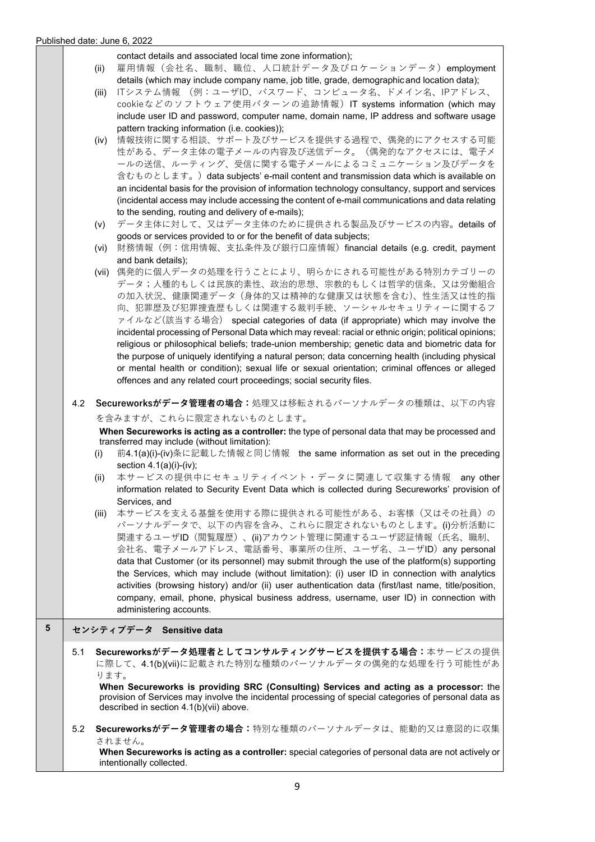contact details and associated local time zone information);

- (ii) 雇用情報(会社名、職制、職位、人口統計データ及びロケーションデータ)employment details (which may include company name, job title, grade, demographic and location data);
- (iii) ITシステム情報 (例:ユーザID、パスワード、コンピュータ名、ドメイン名、IPアドレス、 cookieなどのソフトウェア使用パターンの追跡情報) IT systems information (which may include user ID and password, computer name, domain name, IP address and software usage pattern tracking information (i.e. cookies));
- (iv) 情報技術に関する相談、サポート及びサービスを提供する過程で、偶発的にアクセスする可能 性がある、データ主体の電子メールの内容及び送信データ。(偶発的なアクセスには、電子メ ールの送信、ルーティング、受信に関する電⼦メールによるコミュニケーション及びデータを 含むものとします。) data subjects' e-mail content and transmission data which is available on an incidental basis for the provision of information technology consultancy, support and services (incidental access may include accessing the content of e-mail communications and data relating to the sending, routing and delivery of e-mails);
- (v) データ主体に対して、⼜はデータ主体のために提供される製品及びサービスの内容。details of goods or services provided to or for the benefit of data subjects;
- (vi) 財務情報(例:信用情報、支払条件及び銀行口座情報) financial details (e.g. credit, payment and bank details);
- (vii) 偶発的に個⼈データの処理を⾏うことにより、明らかにされる可能性がある特別カテゴリーの データ;人種的もしくは民族的素性、政治的思想、宗教的もしくは哲学的信条、又は労働組合 の加入状況、健康関連データ (身体的又は精神的な健康又は状態を含む)、性生活又は性的指 向、犯罪歴及び犯罪捜査歴もしくは関連する裁判手続、ソーシャルセキュリティーに関するフ ァイルなど(該当する場合) special categories of data (if appropriate) which may involve the incidental processing of Personal Data which may reveal: racial or ethnic origin; political opinions; religious or philosophical beliefs; trade-union membership; genetic data and biometric data for the purpose of uniquely identifying a natural person; data concerning health (including physical or mental health or condition); sexual life or sexual orientation; criminal offences or alleged offences and any related court proceedings; social security files.
- 4.2 **Secureworksがデータ管理者の場合:**処理⼜は移転されるパーソナルデータの種類は、以下の内容

を含みますが、これらに限定されないものとします。

**When Secureworks is acting as a controller:** the type of personal data that may be processed and transferred may include (without limitation):

- (i) 前4.1(a)(i)-(iv)条に記載した情報と同じ情報 the same information as set out in the preceding section 4.1(a)(i)-(iv);
- (ii) 本サービスの提供中にセキュリティイベント・データに関連して収集する情報 any other information related to Security Event Data which is collected during Secureworks' provision of Services, and
- (iii) 本サービスを⽀える基盤を使⽤する際に提供される可能性がある、お客様(⼜はその社員)の パーソナルデータで、以下の内容を含み、これらに限定されないものとします。(i)分析活動に 関連するユーザID (閲覧履歴)、(ii)アカウント管理に関連するユーザ認証情報(氏名、職制、 会社名、電⼦メールアドレス、電話番号、事業所の住所、ユーザ名、ユーザID)any personal data that Customer (or its personnel) may submit through the use of the platform(s) supporting the Services, which may include (without limitation): (i) user ID in connection with analytics activities (browsing history) and/or (ii) user authentication data (first/last name, title/position, company, email, phone, physical business address, username, user ID) in connection with administering accounts.

# **5 センシティブデータ Sensitive data**

5.1 **Secureworksがデータ処理者としてコンサルティングサービスを提供する場合:**本サービスの提供 に際して、4.1(b)(vii)に記載された特別な種類のパーソナルデータの偶発的な処理を行う可能性があ ります。

**When Secureworks is providing SRC (Consulting) Services and acting as a processor:** the provision of Services may involve the incidental processing of special categories of personal data as described in section 4.1(b)(vii) above.

5.2 **Secureworksがデータ管理者の場合:**特別な種類のパーソナルデータは、能動的⼜は意図的に収集 されません。

**When Secureworks is acting as a controller:** special categories of personal data are not actively or intentionally collected.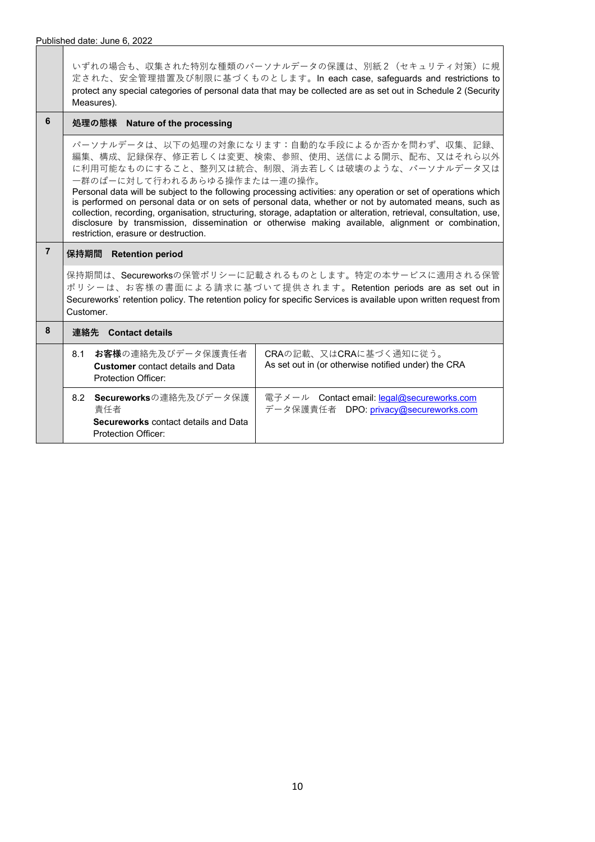いずれの場合も、収集された特別な種類のパーソナルデータの保護は、別紙2(セキュリティ対策)に規 定された、安全管理措置及び制限に基づくものとします。In each case, safeguards and restrictions to protect any special categories of personal data that may be collected are as set out in Schedule 2 (Security Measures).

# **6 処理の態様 Nature of the processing**

パーソナルデータは、以下の処理の対象になります:⾃動的な⼿段によるか否かを問わず、収集、記録、 編集、構成、記録保存、修正若しくは変更、検索、参照、使用、送信による開示、配布、又はそれら以外 に利用可能なものにすること、整列又は統合、制限、消去若しくは破壊のような、パーソナルデータ又は 一群のぱーに対して行われるあらゆる操作または一連の操作。

Personal data will be subject to the following processing activities: any operation or set of operations which is performed on personal data or on sets of personal data, whether or not by automated means, such as collection, recording, organisation, structuring, storage, adaptation or alteration, retrieval, consultation, use, disclosure by transmission, dissemination or otherwise making available, alignment or combination, restriction, erasure or destruction.

# **7 保持期間 Retention period**

保持期間は、Secureworksの保管ポリシーに記載されるものとします。特定の本サービスに適⽤される保管 ポリシーは、お客様の書⾯による請求に基づいて提供されます。Retention periods are as set out in Secureworks' retention policy. The retention policy for specific Services is available upon written request from Customer.

| 8 | <b>Contact details</b><br>運絡先 |                                                                                                         |                                                                                     |
|---|-------------------------------|---------------------------------------------------------------------------------------------------------|-------------------------------------------------------------------------------------|
|   | 8.1                           | お客様の連絡先及びデータ保護責任者<br><b>Customer</b> contact details and Data<br>Protection Officer:                    | CRAの記載、又はCRAに基づく通知に従う。<br>As set out in (or otherwise notified under) the CRA       |
|   |                               | 8.2 Secureworksの連絡先及びデータ保護<br>青仟者<br><b>Secureworks</b> contact details and Data<br>Protection Officer: | 電子メール Contact email: legal@secureworks.com<br>データ保護責任者 DPO: privacy@secureworks.com |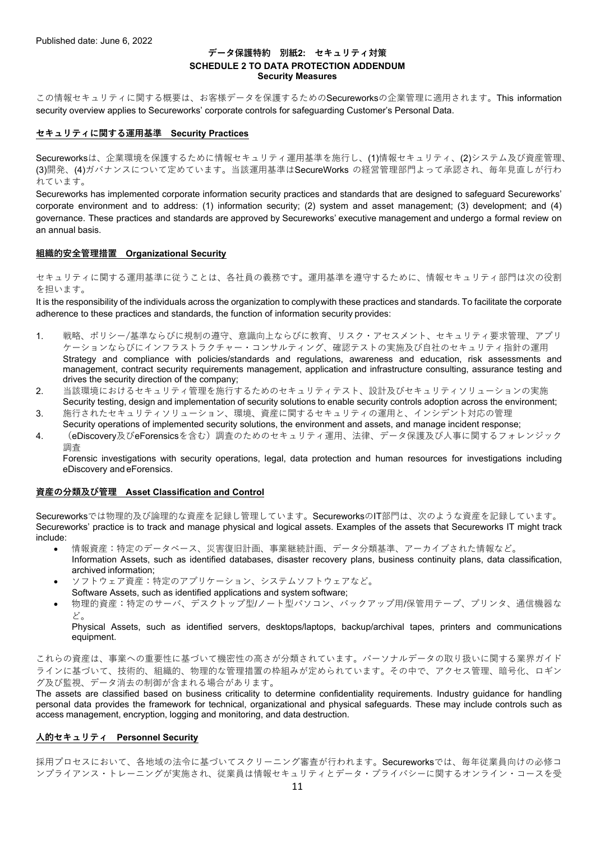#### **データ保護特約 別紙2: セキュリティ対策 SCHEDULE 2 TO DATA PROTECTION ADDENDUM Security Measures**

この情報セキュリティに関する概要は、お客様データを保護するためのSecureworksの企業管理に適用されます。This information security overview applies to Secureworks' corporate controls for safeguarding Customer's Personal Data.

#### **セキュリティに関する運⽤基準 Security Practices**

Secureworksは、企業環境を保護するために情報セキュリティ運用基準を施行し、(1)情報セキュリティ、(2)システム及び資産管理、 (3)開発、(4)ガバナンスについて定めています。当該運用基準はSecureWorks の経営管理部門よって承認され、毎年見直しが行わ れています。

Secureworks has implemented corporate information security practices and standards that are designed to safeguard Secureworks' corporate environment and to address: (1) information security; (2) system and asset management; (3) development; and (4) governance. These practices and standards are approved by Secureworks' executive management and undergo a formal review on an annual basis.

#### **組織的安全管理措置 Organizational Security**

セキュリティに関する運用基準に従うことは、各社員の義務です。運用基準を遵守するために、情報セキュリティ部門は次の役割 を担います。

It is the responsibility of the individuals across the organization to comply with these practices and standards. To facilitate the corporate adherence to these practices and standards, the function of information security provides:

- 1. 戦略、ポリシー/基準ならびに規制の遵守、意識向上ならびに教育、リスク・アセスメント、セキュリティ要求管理、アプリ ケーションならびにインフラストラクチャー・コンサルティング、確認テストの実施及び自社のセキュリティ指針の運用 Strategy and compliance with policies/standards and regulations, awareness and education, risk assessments and management, contract security requirements management, application and infrastructure consulting, assurance testing and drives the security direction of the company;
- 2. 当該環境におけるセキュリティ管理を施⾏するためのセキュリティテスト、設計及びセキュリティソリューションの実施 Security testing, design and implementation of security solutions to enable security controls adoption across the environment;
- 3. 施行されたセキュリティソリューション、環境、資産に関するセキュリティの運用と、インシデント対応の管理
- Security operations of implemented security solutions, the environment and assets, and manage incident response;
- 4. (eDiscovery及びeForensicsを含む)調査のためのセキュリティ運⽤、法律、データ保護及び⼈事に関するフォレンジック 調査

Forensic investigations with security operations, legal, data protection and human resources for investigations including eDiscovery and eForensics.

#### **資産の分類及び管理 Asset Classification and Control**

Secureworksでは物理的及び論理的な資産を記録し管理しています。SecureworksのIT部⾨は、次のような資産を記録しています。 Secureworks' practice is to track and manage physical and logical assets. Examples of the assets that Secureworks IT might track include:

- 情報資産:特定のデータベース、災害復旧計画、事業継続計画、データ分類基準、アーカイブされた情報など。 Information Assets, such as identified databases, disaster recovery plans, business continuity plans, data classification, archived information;
- ソフトウェア資産:特定のアプリケーション、システムソフトウェアなど。 Software Assets, such as identified applications and system software;
- 物理的資産:特定のサーバ、デスクトップ型/ノート型パソコン、バックアップ用/保管用テープ、プリンタ、通信機器な ど。

Physical Assets, such as identified servers, desktops/laptops, backup/archival tapes, printers and communications equipment.

これらの資産は、事業への重要性に基づいて機密性の⾼さが分類されています。パーソナルデータの取り扱いに関する業界ガイド ラインに基づいて、技術的、組織的、物理的な管理措置の枠組みが定められています。その中で、アクセス管理、暗号化、ロギン グ及び監視、データ消去の制御が含まれる場合があります。

The assets are classified based on business criticality to determine confidentiality requirements. Industry guidance for handling personal data provides the framework for technical, organizational and physical safeguards. These may include controls such as access management, encryption, logging and monitoring, and data destruction.

#### **⼈的セキュリティ Personnel Security**

採用プロセスにおいて、各地域の法令に基づいてスクリーニング審査が行われます。Secureworksでは、毎年従業員向けの必修コ ンプライアンス・トレーニングが実施され、従業員は情報セキュリティとデータ・プライバシーに関するオンライン・コースを受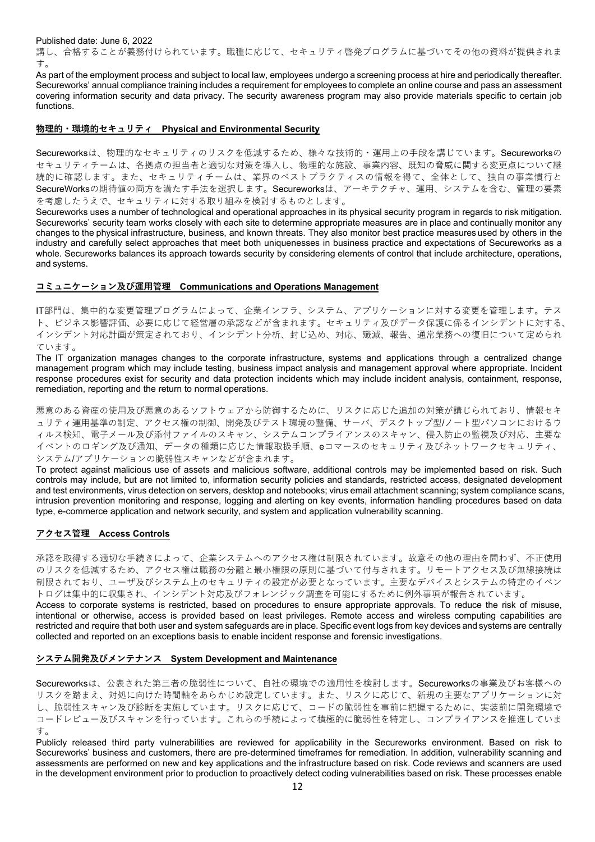講し、合格することが義務付けられています。職種に応じて、セキュリティ啓発プログラムに基づいてその他の資料が提供されま す。

As part of the employment process and subject to local law, employees undergo a screening process at hire and periodically thereafter. Secureworks' annual compliance training includes a requirement for employees to complete an online course and pass an assessment covering information security and data privacy. The security awareness program may also provide materials specific to certain job functions.

#### **物理的・環境的セキュリティ Physical and Environmental Security**

Secureworksは、物理的なセキュリティのリスクを低減するため、様々な技術的·運用上の手段を講じています。Secureworksの セキュリティチームは、各拠点の担当者と適切な対策を導⼊し、物理的な施設、事業内容、既知の脅威に関する変更点について継 続的に確認します。また、セキュリティチームは、業界のベストプラクティスの情報を得て、全体として、独自の事業慣行と SecureWorksの期待値の両方を満たす手法を選択します。Secureworksは、アーキテクチャ、運用、システムを含む、管理の要素 を考慮したうえで、セキュリティに対する取り組みを検討するものとします。

Secureworks uses a number of technological and operational approaches in its physical security program in regards to risk mitigation. Secureworks' security team works closely with each site to determine appropriate measures are in place and continually monitor any changes to the physical infrastructure, business, and known threats. They also monitor best practice measures used by others in the industry and carefully select approaches that meet both uniquenesses in business practice and expectations of Secureworks as a whole. Secureworks balances its approach towards security by considering elements of control that include architecture, operations, and systems.

#### **コミュニケーション及び運⽤管理 Communications and Operations Management**

IT部⾨は、集中的な変更管理プログラムによって、企業インフラ、システム、アプリケーションに対する変更を管理します。テス ト、ビジネス影響評価、必要に応じて経営層の承認などが含まれます。セキュリティ及びデータ保護に係るインシデントに対する、 インシデント対応計画が策定されており、インシデント分析、封じ込め、対応、殲滅、報告、通常業務への復旧について定められ ています。

The IT organization manages changes to the corporate infrastructure, systems and applications through a centralized change management program which may include testing, business impact analysis and management approval where appropriate. Incident response procedures exist for security and data protection incidents which may include incident analysis, containment, response, remediation, reporting and the return to normal operations.

悪意のある資産の使⽤及び悪意のあるソフトウェアから防御するために、リスクに応じた追加の対策が講じられており、情報セキ ュリティ運用基準の制定、アクセス権の制御、開発及びテスト環境の整備、サーバ、デスクトップ型/ノート型パソコンにおけるウ ィルス検知、電子メール及び添付ファイルのスキャン、システムコンプライアンスのスキャン、侵入防止の監視及び対応、主要な イベントのロギング及び通知、データの種類に応じた情報取扱⼿順、eコマースのセキュリティ及びネットワークセキュリティ、 システム/アプリケーションの脆弱性スキャンなどが含まれます。

To protect against malicious use of assets and malicious software, additional controls may be implemented based on risk. Such controls may include, but are not limited to, information security policies and standards, restricted access, designated development and test environments, virus detection on servers, desktop and notebooks; virus email attachment scanning; system compliance scans, intrusion prevention monitoring and response, logging and alerting on key events, information handling procedures based on data type, e-commerce application and network security, and system and application vulnerability scanning.

#### **アクセス管理 Access Controls**

承認を取得する適切な手続きによって、企業システムへのアクセス権は制限されています。故意その他の理由を問わず、不正使用 のリスクを低減するため、アクセス権は職務の分離と最⼩権限の原則に基づいて付与されます。リモートアクセス及び無線接続は 制限されており、ユーザ及びシステム上のセキュリティの設定が必要となっています。主要なデバイスとシステムの特定のイベン トログは集中的に収集され、インシデント対応及びフォレンジック調査を可能にするために例外事項が報告されています。

Access to corporate systems is restricted, based on procedures to ensure appropriate approvals. To reduce the risk of misuse, intentional or otherwise, access is provided based on least privileges. Remote access and wireless computing capabilities are restricted and require that both user and system safeguards are in place. Specific event logs from key devices and systems are centrally collected and reported on an exceptions basis to enable incident response and forensic investigations.

#### **システム開発及びメンテナンス System Development and Maintenance**

Secureworksは、公表された第三者の脆弱性について、自社の環境での適用性を検討します。Secureworksの事業及びお客様への リスクを踏まえ、対処に向けた時間軸をあらかじめ設定しています。また、リスクに応じて、新規の主要なアプリケーションに対 し、脆弱性スキャン及び診断を実施しています。リスクに応じて、コードの脆弱性を事前に把握するために、実装前に開発環境で コードレビュー及びスキャンを⾏っています。これらの⼿続によって積極的に脆弱性を特定し、コンプライアンスを推進していま す。

Publicly released third party vulnerabilities are reviewed for applicability in the Secureworks environment. Based on risk to Secureworks' business and customers, there are pre-determined timeframes for remediation. In addition, vulnerability scanning and assessments are performed on new and key applications and the infrastructure based on risk. Code reviews and scanners are used in the development environment prior to production to proactively detect coding vulnerabilities based on risk. These processes enable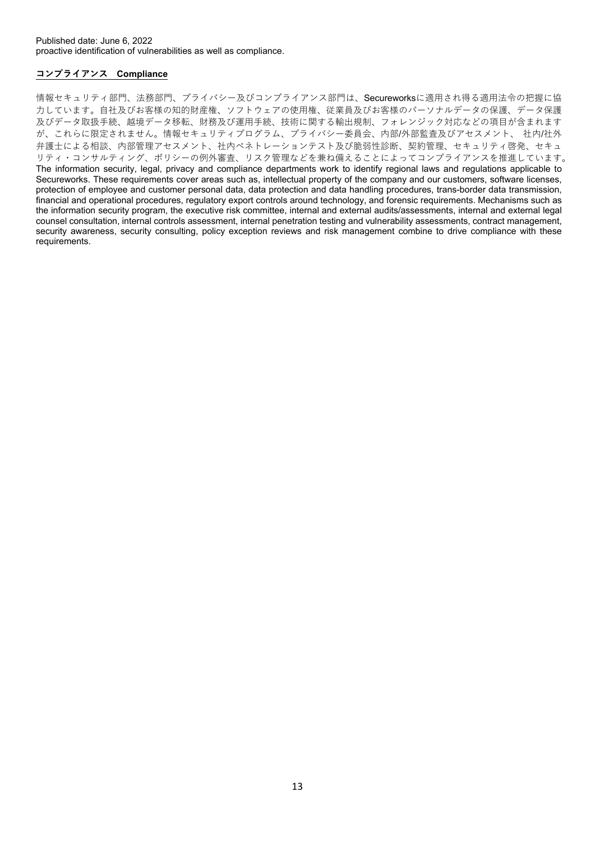# **コンプライアンス Compliance**

情報セキュリティ部門、法務部門、プライバシー及びコンプライアンス部門は、Secureworksに適用され得る適用法令の把握に協 力しています。自社及びお客様の知的財産権、ソフトウェアの使用権、従業員及びお客様のパーソナルデータの保護、データ保護 及びデータ取扱手続、越境データ移転、財務及び運用手続、技術に関する輸出規制、フォレンジック対応などの項目が含まれます が、これらに限定されません。情報セキュリティプログラム、プライバシー委員会、内部/外部監査及びアセスメント、 社内/社外 弁護士による相談、内部管理アセスメント、社内ペネトレーションテスト及び脆弱性診断、契約管理、セキュリティ啓発、セキュ リティ・コンサルティング、ポリシーの例外審査、リスク管理などを兼ね備えることによってコンプライアンスを推進しています。 The information security, legal, privacy and compliance departments work to identify regional laws and regulations applicable to Secureworks. These requirements cover areas such as, intellectual property of the company and our customers, software licenses, protection of employee and customer personal data, data protection and data handling procedures, trans-border data transmission, financial and operational procedures, regulatory export controls around technology, and forensic requirements. Mechanisms such as the information security program, the executive risk committee, internal and external audits/assessments, internal and external legal counsel consultation, internal controls assessment, internal penetration testing and vulnerability assessments, contract management, security awareness, security consulting, policy exception reviews and risk management combine to drive compliance with these requirements.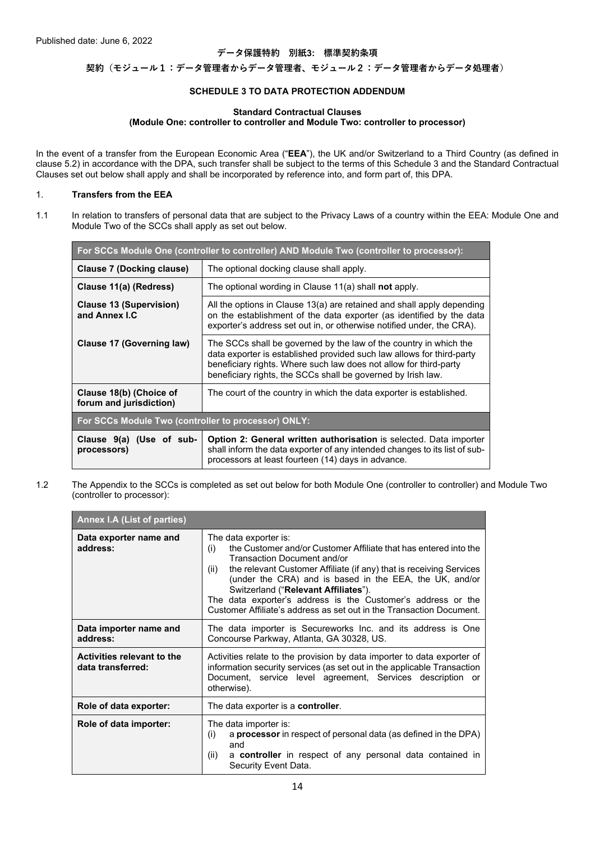#### **データ保護特約 別紙3: 標準契約条項**

**契約(モジュール1:データ管理者からデータ管理者、モジュール2:データ管理者からデータ処理者)**

#### **SCHEDULE 3 TO DATA PROTECTION ADDENDUM**

#### **Standard Contractual Clauses (Module One: controller to controller and Module Two: controller to processor)**

In the event of a transfer from the European Economic Area ("**EEA**"), the UK and/or Switzerland to a Third Country (as defined in clause 5.2) in accordance with the DPA, such transfer shall be subject to the terms of this Schedule 3 and the Standard Contractual Clauses set out below shall apply and shall be incorporated by reference into, and form part of, this DPA.

#### 1. **Transfers from the EEA**

1.1 In relation to transfers of personal data that are subject to the Privacy Laws of a country within the EEA: Module One and Module Two of the SCCs shall apply as set out below.

| For SCCs Module One (controller to controller) AND Module Two (controller to processor): |                                                                                                                                                                                                                                                                                 |  |
|------------------------------------------------------------------------------------------|---------------------------------------------------------------------------------------------------------------------------------------------------------------------------------------------------------------------------------------------------------------------------------|--|
| Clause 7 (Docking clause)                                                                | The optional docking clause shall apply.                                                                                                                                                                                                                                        |  |
| Clause 11(a) (Redress)                                                                   | The optional wording in Clause 11(a) shall <b>not</b> apply.                                                                                                                                                                                                                    |  |
| <b>Clause 13 (Supervision)</b><br>and Annex I.C                                          | All the options in Clause 13(a) are retained and shall apply depending<br>on the establishment of the data exporter (as identified by the data<br>exporter's address set out in, or otherwise notified under, the CRA).                                                         |  |
| Clause 17 (Governing law)                                                                | The SCCs shall be governed by the law of the country in which the<br>data exporter is established provided such law allows for third-party<br>beneficiary rights. Where such law does not allow for third-party<br>beneficiary rights, the SCCs shall be governed by Irish law. |  |
| Clause 18(b) (Choice of<br>forum and jurisdiction)                                       | The court of the country in which the data exporter is established.                                                                                                                                                                                                             |  |
| For SCCs Module Two (controller to processor) ONLY:                                      |                                                                                                                                                                                                                                                                                 |  |
| Clause 9(a) (Use of sub-<br>processors)                                                  | Option 2: General written authorisation is selected. Data importer<br>shall inform the data exporter of any intended changes to its list of sub-<br>processors at least fourteen (14) days in advance.                                                                          |  |

1.2 The Appendix to the SCCs is completed as set out below for both Module One (controller to controller) and Module Two (controller to processor):

| Annex I.A (List of parties)                     |                                                                                                                                                                                                                                                                                                                                                                                                                                                                  |  |  |
|-------------------------------------------------|------------------------------------------------------------------------------------------------------------------------------------------------------------------------------------------------------------------------------------------------------------------------------------------------------------------------------------------------------------------------------------------------------------------------------------------------------------------|--|--|
| Data exporter name and<br>address:              | The data exporter is:<br>the Customer and/or Customer Affiliate that has entered into the<br>(i)<br><b>Transaction Document and/or</b><br>the relevant Customer Affiliate (if any) that is receiving Services<br>(ii)<br>(under the CRA) and is based in the EEA, the UK, and/or<br>Switzerland ("Relevant Affiliates").<br>The data exporter's address is the Customer's address or the<br>Customer Affiliate's address as set out in the Transaction Document. |  |  |
| Data importer name and<br>address:              | The data importer is Secureworks Inc. and its address is One<br>Concourse Parkway, Atlanta, GA 30328, US.                                                                                                                                                                                                                                                                                                                                                        |  |  |
| Activities relevant to the<br>data transferred: | Activities relate to the provision by data importer to data exporter of<br>information security services (as set out in the applicable Transaction<br>Document, service level agreement, Services description or<br>otherwise).                                                                                                                                                                                                                                  |  |  |
| Role of data exporter:                          | The data exporter is a <b>controller</b> .                                                                                                                                                                                                                                                                                                                                                                                                                       |  |  |
| Role of data importer:                          | The data importer is:<br>a processor in respect of personal data (as defined in the DPA)<br>(i)<br>and<br>a <b>controller</b> in respect of any personal data contained in<br>(ii)<br>Security Event Data.                                                                                                                                                                                                                                                       |  |  |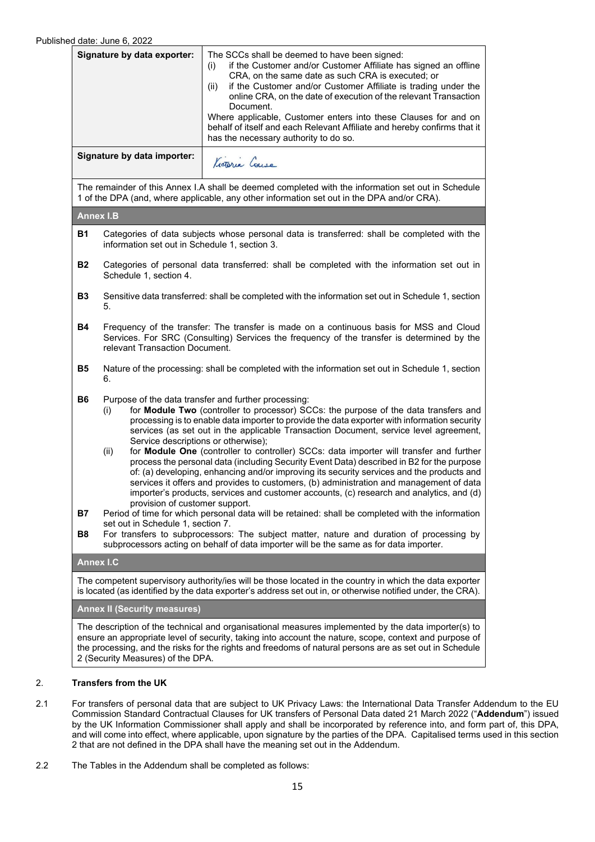|                                                                                                                                                                                                                        | Fu dale. Jurie o, ZUZZ                                                                                                                                                                                                                                                                                                                                                                                                                                                                                                                                                                                                                                                                                                                                                                                                                                                                                                                                                                                                                                                                                                                                                                                                                   |                                                                                                                                                                                                                                                                                                                                                                                                                                                                                                                                 |  |  |
|------------------------------------------------------------------------------------------------------------------------------------------------------------------------------------------------------------------------|------------------------------------------------------------------------------------------------------------------------------------------------------------------------------------------------------------------------------------------------------------------------------------------------------------------------------------------------------------------------------------------------------------------------------------------------------------------------------------------------------------------------------------------------------------------------------------------------------------------------------------------------------------------------------------------------------------------------------------------------------------------------------------------------------------------------------------------------------------------------------------------------------------------------------------------------------------------------------------------------------------------------------------------------------------------------------------------------------------------------------------------------------------------------------------------------------------------------------------------|---------------------------------------------------------------------------------------------------------------------------------------------------------------------------------------------------------------------------------------------------------------------------------------------------------------------------------------------------------------------------------------------------------------------------------------------------------------------------------------------------------------------------------|--|--|
| Signature by data exporter:                                                                                                                                                                                            |                                                                                                                                                                                                                                                                                                                                                                                                                                                                                                                                                                                                                                                                                                                                                                                                                                                                                                                                                                                                                                                                                                                                                                                                                                          | The SCCs shall be deemed to have been signed:<br>if the Customer and/or Customer Affiliate has signed an offline<br>(i)<br>CRA, on the same date as such CRA is executed; or<br>if the Customer and/or Customer Affiliate is trading under the<br>(ii)<br>online CRA, on the date of execution of the relevant Transaction<br>Document.<br>Where applicable, Customer enters into these Clauses for and on<br>behalf of itself and each Relevant Affiliate and hereby confirms that it<br>has the necessary authority to do so. |  |  |
|                                                                                                                                                                                                                        | Signature by data importer:                                                                                                                                                                                                                                                                                                                                                                                                                                                                                                                                                                                                                                                                                                                                                                                                                                                                                                                                                                                                                                                                                                                                                                                                              | Kictoria Couse                                                                                                                                                                                                                                                                                                                                                                                                                                                                                                                  |  |  |
|                                                                                                                                                                                                                        | The remainder of this Annex I.A shall be deemed completed with the information set out in Schedule<br>1 of the DPA (and, where applicable, any other information set out in the DPA and/or CRA).                                                                                                                                                                                                                                                                                                                                                                                                                                                                                                                                                                                                                                                                                                                                                                                                                                                                                                                                                                                                                                         |                                                                                                                                                                                                                                                                                                                                                                                                                                                                                                                                 |  |  |
|                                                                                                                                                                                                                        | <b>Annex I.B</b>                                                                                                                                                                                                                                                                                                                                                                                                                                                                                                                                                                                                                                                                                                                                                                                                                                                                                                                                                                                                                                                                                                                                                                                                                         |                                                                                                                                                                                                                                                                                                                                                                                                                                                                                                                                 |  |  |
| <b>B1</b>                                                                                                                                                                                                              | Categories of data subjects whose personal data is transferred: shall be completed with the<br>information set out in Schedule 1, section 3.                                                                                                                                                                                                                                                                                                                                                                                                                                                                                                                                                                                                                                                                                                                                                                                                                                                                                                                                                                                                                                                                                             |                                                                                                                                                                                                                                                                                                                                                                                                                                                                                                                                 |  |  |
| <b>B2</b>                                                                                                                                                                                                              | Categories of personal data transferred: shall be completed with the information set out in<br>Schedule 1, section 4.                                                                                                                                                                                                                                                                                                                                                                                                                                                                                                                                                                                                                                                                                                                                                                                                                                                                                                                                                                                                                                                                                                                    |                                                                                                                                                                                                                                                                                                                                                                                                                                                                                                                                 |  |  |
| <b>B3</b>                                                                                                                                                                                                              | Sensitive data transferred: shall be completed with the information set out in Schedule 1, section<br>5.                                                                                                                                                                                                                                                                                                                                                                                                                                                                                                                                                                                                                                                                                                                                                                                                                                                                                                                                                                                                                                                                                                                                 |                                                                                                                                                                                                                                                                                                                                                                                                                                                                                                                                 |  |  |
| <b>B4</b>                                                                                                                                                                                                              | Frequency of the transfer: The transfer is made on a continuous basis for MSS and Cloud<br>Services. For SRC (Consulting) Services the frequency of the transfer is determined by the<br>relevant Transaction Document.                                                                                                                                                                                                                                                                                                                                                                                                                                                                                                                                                                                                                                                                                                                                                                                                                                                                                                                                                                                                                  |                                                                                                                                                                                                                                                                                                                                                                                                                                                                                                                                 |  |  |
| <b>B5</b>                                                                                                                                                                                                              | Nature of the processing: shall be completed with the information set out in Schedule 1, section<br>6.                                                                                                                                                                                                                                                                                                                                                                                                                                                                                                                                                                                                                                                                                                                                                                                                                                                                                                                                                                                                                                                                                                                                   |                                                                                                                                                                                                                                                                                                                                                                                                                                                                                                                                 |  |  |
| <b>B6</b><br><b>B7</b><br>B <sub>8</sub>                                                                                                                                                                               | Purpose of the data transfer and further processing:<br>for Module Two (controller to processor) SCCs: the purpose of the data transfers and<br>(i)<br>processing is to enable data importer to provide the data exporter with information security<br>services (as set out in the applicable Transaction Document, service level agreement,<br>Service descriptions or otherwise);<br>for Module One (controller to controller) SCCs: data importer will transfer and further<br>(ii)<br>process the personal data (including Security Event Data) described in B2 for the purpose<br>of: (a) developing, enhancing and/or improving its security services and the products and<br>services it offers and provides to customers, (b) administration and management of data<br>importer's products, services and customer accounts, (c) research and analytics, and (d)<br>provision of customer support.<br>Period of time for which personal data will be retained: shall be completed with the information<br>set out in Schedule 1, section 7.<br>For transfers to subprocessors: The subject matter, nature and duration of processing by<br>subprocessors acting on behalf of data importer will be the same as for data importer. |                                                                                                                                                                                                                                                                                                                                                                                                                                                                                                                                 |  |  |
|                                                                                                                                                                                                                        | <b>Annex I.C</b>                                                                                                                                                                                                                                                                                                                                                                                                                                                                                                                                                                                                                                                                                                                                                                                                                                                                                                                                                                                                                                                                                                                                                                                                                         |                                                                                                                                                                                                                                                                                                                                                                                                                                                                                                                                 |  |  |
| The competent supervisory authority/ies will be those located in the country in which the data exporter<br>is located (as identified by the data exporter's address set out in, or otherwise notified under, the CRA). |                                                                                                                                                                                                                                                                                                                                                                                                                                                                                                                                                                                                                                                                                                                                                                                                                                                                                                                                                                                                                                                                                                                                                                                                                                          |                                                                                                                                                                                                                                                                                                                                                                                                                                                                                                                                 |  |  |
| <b>Annex II (Security measures)</b>                                                                                                                                                                                    |                                                                                                                                                                                                                                                                                                                                                                                                                                                                                                                                                                                                                                                                                                                                                                                                                                                                                                                                                                                                                                                                                                                                                                                                                                          |                                                                                                                                                                                                                                                                                                                                                                                                                                                                                                                                 |  |  |
| The description of the technical and organisational measures implemented by the data importer(s) to                                                                                                                    |                                                                                                                                                                                                                                                                                                                                                                                                                                                                                                                                                                                                                                                                                                                                                                                                                                                                                                                                                                                                                                                                                                                                                                                                                                          |                                                                                                                                                                                                                                                                                                                                                                                                                                                                                                                                 |  |  |

ensure an appropriate level of security, taking into account the nature, scope, context and purpose of the processing, and the risks for the rights and freedoms of natural persons are as set out in Schedule 2 (Security Measures) of the DPA.

# 2. **Transfers from the UK**

- 2.1 For transfers of personal data that are subject to UK Privacy Laws: the International Data Transfer Addendum to the EU Commission Standard Contractual Clauses for UK transfers of Personal Data dated 21 March 2022 ("**Addendum**") issued by the UK Information Commissioner shall apply and shall be incorporated by reference into, and form part of, this DPA, and will come into effect, where applicable, upon signature by the parties of the DPA. Capitalised terms used in this section 2 that are not defined in the DPA shall have the meaning set out in the Addendum.
- 2.2 The Tables in the Addendum shall be completed as follows: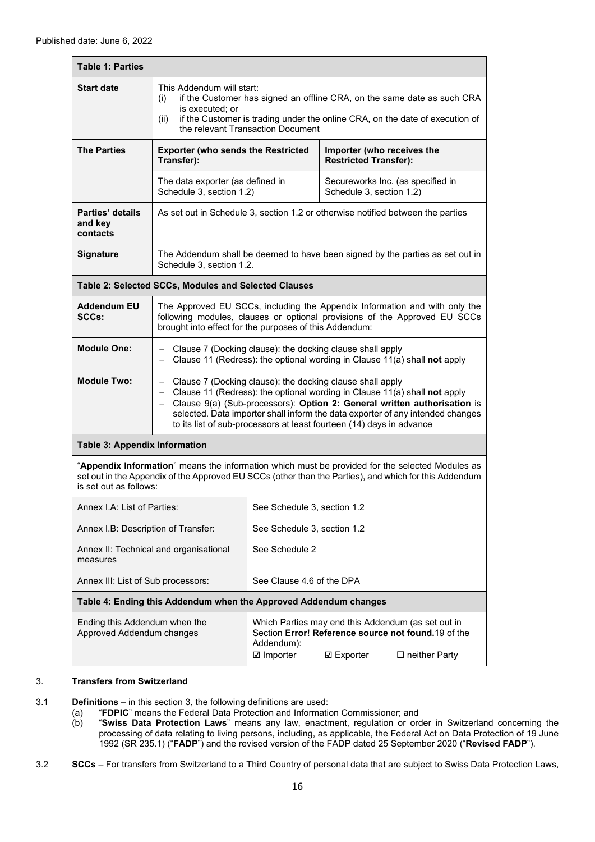| <b>Table 1: Parties</b>                                                                                                                                                                                                                          |                                                                                                                                                                                                                                                             |                                                                                                                                                                                                                                                                                                                                                                                  |                                                                               |                                   |  |
|--------------------------------------------------------------------------------------------------------------------------------------------------------------------------------------------------------------------------------------------------|-------------------------------------------------------------------------------------------------------------------------------------------------------------------------------------------------------------------------------------------------------------|----------------------------------------------------------------------------------------------------------------------------------------------------------------------------------------------------------------------------------------------------------------------------------------------------------------------------------------------------------------------------------|-------------------------------------------------------------------------------|-----------------------------------|--|
| <b>Start date</b>                                                                                                                                                                                                                                | This Addendum will start:<br>if the Customer has signed an offline CRA, on the same date as such CRA<br>(i)<br>is executed; or<br>if the Customer is trading under the online CRA, on the date of execution of<br>(ii)<br>the relevant Transaction Document |                                                                                                                                                                                                                                                                                                                                                                                  |                                                                               |                                   |  |
| <b>The Parties</b>                                                                                                                                                                                                                               | <b>Exporter (who sends the Restricted</b><br>Transfer):                                                                                                                                                                                                     |                                                                                                                                                                                                                                                                                                                                                                                  | Importer (who receives the<br><b>Restricted Transfer):</b>                    |                                   |  |
|                                                                                                                                                                                                                                                  | The data exporter (as defined in<br>Schedule 3, section 1.2)                                                                                                                                                                                                |                                                                                                                                                                                                                                                                                                                                                                                  | Schedule 3, section 1.2)                                                      | Secureworks Inc. (as specified in |  |
| As set out in Schedule 3, section 1.2 or otherwise notified between the parties<br>Parties' details<br>and key<br>contacts                                                                                                                       |                                                                                                                                                                                                                                                             |                                                                                                                                                                                                                                                                                                                                                                                  |                                                                               |                                   |  |
| <b>Signature</b>                                                                                                                                                                                                                                 | Schedule 3, section 1.2.                                                                                                                                                                                                                                    |                                                                                                                                                                                                                                                                                                                                                                                  | The Addendum shall be deemed to have been signed by the parties as set out in |                                   |  |
|                                                                                                                                                                                                                                                  | Table 2: Selected SCCs, Modules and Selected Clauses                                                                                                                                                                                                        |                                                                                                                                                                                                                                                                                                                                                                                  |                                                                               |                                   |  |
| <b>Addendum EU</b><br>The Approved EU SCCs, including the Appendix Information and with only the<br>SCCs:<br>following modules, clauses or optional provisions of the Approved EU SCCs<br>brought into effect for the purposes of this Addendum: |                                                                                                                                                                                                                                                             |                                                                                                                                                                                                                                                                                                                                                                                  |                                                                               |                                   |  |
| <b>Module One:</b>                                                                                                                                                                                                                               | Clause 7 (Docking clause): the docking clause shall apply<br>Clause 11 (Redress): the optional wording in Clause 11(a) shall not apply<br>$\overline{\phantom{0}}$                                                                                          |                                                                                                                                                                                                                                                                                                                                                                                  |                                                                               |                                   |  |
| <b>Module Two:</b><br>$\overline{\phantom{0}}$                                                                                                                                                                                                   |                                                                                                                                                                                                                                                             | Clause 7 (Docking clause): the docking clause shall apply<br>- Clause 11 (Redress): the optional wording in Clause 11(a) shall not apply<br>- Clause 9(a) (Sub-processors): Option 2: General written authorisation is<br>selected. Data importer shall inform the data exporter of any intended changes<br>to its list of sub-processors at least fourteen (14) days in advance |                                                                               |                                   |  |
|                                                                                                                                                                                                                                                  | <b>Table 3: Appendix Information</b>                                                                                                                                                                                                                        |                                                                                                                                                                                                                                                                                                                                                                                  |                                                                               |                                   |  |
| "Appendix Information" means the information which must be provided for the selected Modules as<br>set out in the Appendix of the Approved EU SCCs (other than the Parties), and which for this Addendum<br>is set out as follows:               |                                                                                                                                                                                                                                                             |                                                                                                                                                                                                                                                                                                                                                                                  |                                                                               |                                   |  |
| Annex I.A: List of Parties:                                                                                                                                                                                                                      |                                                                                                                                                                                                                                                             | See Schedule 3, section 1.2                                                                                                                                                                                                                                                                                                                                                      |                                                                               |                                   |  |
| Annex I.B: Description of Transfer:                                                                                                                                                                                                              |                                                                                                                                                                                                                                                             | See Schedule 3, section 1.2                                                                                                                                                                                                                                                                                                                                                      |                                                                               |                                   |  |
| measures                                                                                                                                                                                                                                         | Annex II: Technical and organisational                                                                                                                                                                                                                      | See Schedule 2                                                                                                                                                                                                                                                                                                                                                                   |                                                                               |                                   |  |
| Annex III: List of Sub processors:                                                                                                                                                                                                               |                                                                                                                                                                                                                                                             | See Clause 4.6 of the DPA                                                                                                                                                                                                                                                                                                                                                        |                                                                               |                                   |  |
| Table 4: Ending this Addendum when the Approved Addendum changes                                                                                                                                                                                 |                                                                                                                                                                                                                                                             |                                                                                                                                                                                                                                                                                                                                                                                  |                                                                               |                                   |  |
| Ending this Addendum when the<br>Approved Addendum changes                                                                                                                                                                                       |                                                                                                                                                                                                                                                             | Which Parties may end this Addendum (as set out in<br>Section Error! Reference source not found.19 of the<br>Addendum):<br><b>☑</b> Importer<br><b>☑ Exporter</b><br>$\square$ neither Party                                                                                                                                                                                     |                                                                               |                                   |  |

#### 3. **Transfers from Switzerland**

3.1 **Definitions** – in this section 3, the following definitions are used:

- (a) "**FDPIC**" means the Federal Data Protection and Information Commissioner; and
	- (b) "**Swiss Data Protection Laws**" means any law, enactment, regulation or order in Switzerland concerning the processing of data relating to living persons, including, as applicable, the Federal Act on Data Protection of 19 June 1992 (SR 235.1) ("**FADP**") and the revised version of the FADP dated 25 September 2020 ("**Revised FADP**").
- 3.2 **SCCs** For transfers from Switzerland to a Third Country of personal data that are subject to Swiss Data Protection Laws,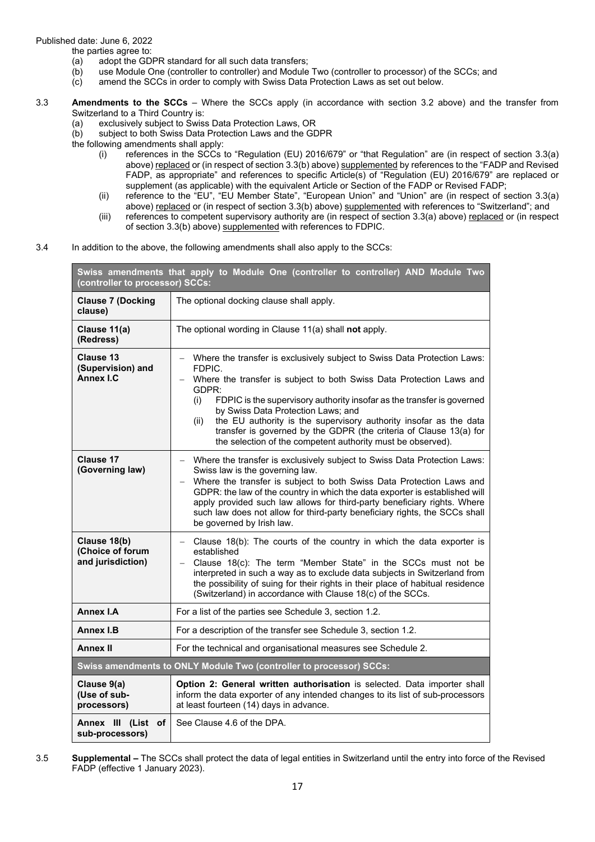the parties agree to:

- (a) adopt the GDPR standard for all such data transfers;
- $\overrightarrow{b}$  use Module One (controller to controller) and Module Two (controller to processor) of the SCCs; and (c) amend the SCCs in order to comply with Swiss Data Protection Laws as set out below.
- amend the SCCs in order to comply with Swiss Data Protection Laws as set out below.
- 3.3 **Amendments to the SCCs** Where the SCCs apply (in accordance with section 3.2 above) and the transfer from Switzerland to a Third Country is:
	- (a) exclusively subject to Swiss Data Protection Laws, OR
	- (b) subject to both Swiss Data Protection Laws and the GDPR

the following amendments shall apply:

- (i) references in the SCCs to "Regulation (EU) 2016/679" or "that Regulation" are (in respect of section 3.3(a) above) replaced or (in respect of section 3.3(b) above) supplemented by references to the "FADP and Revised FADP, as appropriate" and references to specific Article(s) of "Regulation (EU) 2016/679" are replaced or supplement (as applicable) with the equivalent Article or Section of the FADP or Revised FADP;
- (ii) reference to the "EU", "EU Member State", "European Union" and "Union" are (in respect of section 3.3(a) above) replaced or (in respect of section 3.3(b) above) supplemented with references to "Switzerland"; and
- (iii) references to competent supervisory authority are (in respect of section 3.3(a) above) replaced or (in respect of section 3.3(b) above) supplemented with references to FDPIC.
- 3.4 In addition to the above, the following amendments shall also apply to the SCCs:

| Swiss amendments that apply to Module One (controller to controller) AND Module Two<br>(controller to processor) SCCs: |                                                                                                                                                                                                                                                                                                                                                                                                                                                                                                              |  |  |
|------------------------------------------------------------------------------------------------------------------------|--------------------------------------------------------------------------------------------------------------------------------------------------------------------------------------------------------------------------------------------------------------------------------------------------------------------------------------------------------------------------------------------------------------------------------------------------------------------------------------------------------------|--|--|
| <b>Clause 7 (Docking</b><br>clause)                                                                                    | The optional docking clause shall apply.                                                                                                                                                                                                                                                                                                                                                                                                                                                                     |  |  |
| Clause 11(a)<br>(Redress)                                                                                              | The optional wording in Clause 11(a) shall not apply.                                                                                                                                                                                                                                                                                                                                                                                                                                                        |  |  |
| Clause 13<br>(Supervision) and<br><b>Annex I.C</b>                                                                     | Where the transfer is exclusively subject to Swiss Data Protection Laws:<br>FDPIC.<br>Where the transfer is subject to both Swiss Data Protection Laws and<br>GDPR:<br>(i)<br>FDPIC is the supervisory authority insofar as the transfer is governed<br>by Swiss Data Protection Laws; and<br>the EU authority is the supervisory authority insofar as the data<br>(ii)<br>transfer is governed by the GDPR (the criteria of Clause 13(a) for<br>the selection of the competent authority must be observed). |  |  |
| Clause 17<br>(Governing law)                                                                                           | Where the transfer is exclusively subject to Swiss Data Protection Laws:<br>Swiss law is the governing law.<br>Where the transfer is subject to both Swiss Data Protection Laws and<br>GDPR: the law of the country in which the data exporter is established will<br>apply provided such law allows for third-party beneficiary rights. Where<br>such law does not allow for third-party beneficiary rights, the SCCs shall<br>be governed by Irish law.                                                    |  |  |
| Clause 18(b)<br>(Choice of forum<br>and jurisdiction)                                                                  | Clause 18(b): The courts of the country in which the data exporter is<br>established<br>Clause 18(c): The term "Member State" in the SCCs must not be<br>$\overline{\phantom{0}}$<br>interpreted in such a way as to exclude data subjects in Switzerland from<br>the possibility of suing for their rights in their place of habitual residence<br>(Switzerland) in accordance with Clause 18(c) of the SCCs.                                                                                               |  |  |
| <b>Annex I.A</b>                                                                                                       | For a list of the parties see Schedule 3, section 1.2.                                                                                                                                                                                                                                                                                                                                                                                                                                                       |  |  |
| <b>Annex I.B</b>                                                                                                       | For a description of the transfer see Schedule 3, section 1.2.                                                                                                                                                                                                                                                                                                                                                                                                                                               |  |  |
| <b>Annex II</b>                                                                                                        | For the technical and organisational measures see Schedule 2.                                                                                                                                                                                                                                                                                                                                                                                                                                                |  |  |
| Swiss amendments to ONLY Module Two (controller to processor) SCCs:                                                    |                                                                                                                                                                                                                                                                                                                                                                                                                                                                                                              |  |  |
| Clause 9(a)<br>(Use of sub-<br>processors)                                                                             | Option 2: General written authorisation is selected. Data importer shall<br>inform the data exporter of any intended changes to its list of sub-processors<br>at least fourteen (14) days in advance.                                                                                                                                                                                                                                                                                                        |  |  |
| Annex III (List of<br>sub-processors)                                                                                  | See Clause 4.6 of the DPA.                                                                                                                                                                                                                                                                                                                                                                                                                                                                                   |  |  |

3.5 **Supplemental –** The SCCs shall protect the data of legal entities in Switzerland until the entry into force of the Revised FADP (effective 1 January 2023).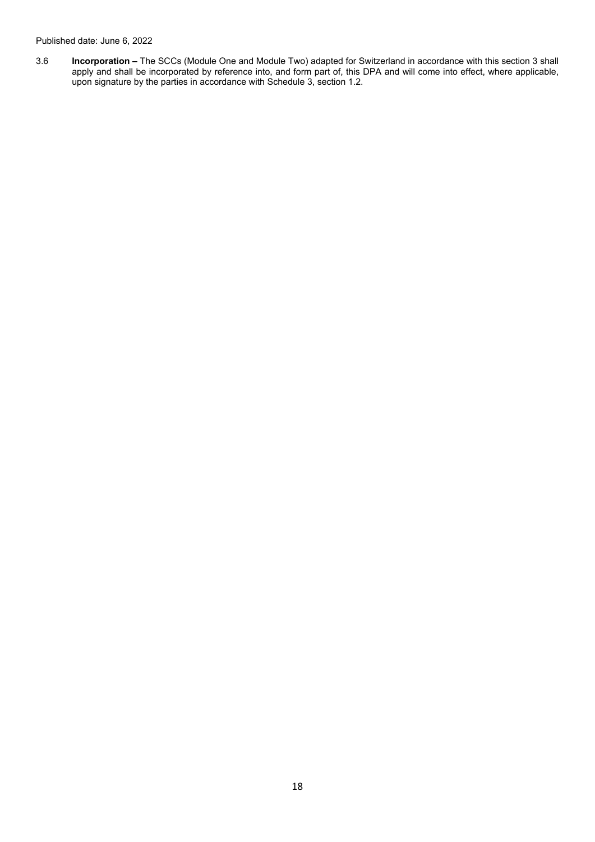3.6 **Incorporation –** The SCCs (Module One and Module Two) adapted for Switzerland in accordance with this section 3 shall apply and shall be incorporated by reference into, and form part of, this DPA and will come into effect, where applicable, upon signature by the parties in accordance with Schedule 3, section 1.2.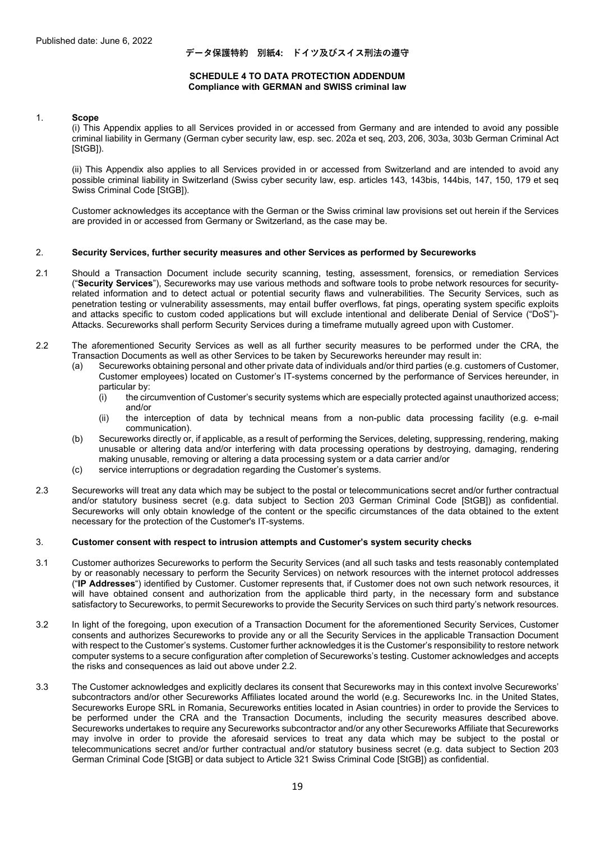#### **データ保護特約 別紙4: ドイツ及びスイス刑法の遵守**

#### **SCHEDULE 4 TO DATA PROTECTION ADDENDUM Compliance with GERMAN and SWISS criminal law**

#### 1. **Scope**

 (i) This Appendix applies to all Services provided in or accessed from Germany and are intended to avoid any possible criminal liability in Germany (German cyber security law, esp. sec. 202a et seq, 203, 206, 303a, 303b German Criminal Act [StGB]).

(ii) This Appendix also applies to all Services provided in or accessed from Switzerland and are intended to avoid any possible criminal liability in Switzerland (Swiss cyber security law, esp. articles 143, 143bis, 144bis, 147, 150, 179 et seq Swiss Criminal Code [StGB]).

Customer acknowledges its acceptance with the German or the Swiss criminal law provisions set out herein if the Services are provided in or accessed from Germany or Switzerland, as the case may be.

#### 2. **Security Services, further security measures and other Services as performed by Secureworks**

- 2.1 Should a Transaction Document include security scanning, testing, assessment, forensics, or remediation Services ("**Security Services**"), Secureworks may use various methods and software tools to probe network resources for securityrelated information and to detect actual or potential security flaws and vulnerabilities. The Security Services, such as penetration testing or vulnerability assessments, may entail buffer overflows, fat pings, operating system specific exploits and attacks specific to custom coded applications but will exclude intentional and deliberate Denial of Service ("DoS")- Attacks. Secureworks shall perform Security Services during a timeframe mutually agreed upon with Customer.
- 2.2 The aforementioned Security Services as well as all further security measures to be performed under the CRA, the Transaction Documents as well as other Services to be taken by Secureworks hereunder may result in:
	- (a) Secureworks obtaining personal and other private data of individuals and/or third parties (e.g. customers of Customer, Customer employees) located on Customer's IT-systems concerned by the performance of Services hereunder, in particular by:
		- (i) the circumvention of Customer's security systems which are especially protected against unauthorized access; and/or
		- (ii) the interception of data by technical means from a non-public data processing facility (e.g. e-mail communication).
	- (b) Secureworks directly or, if applicable, as a result of performing the Services, deleting, suppressing, rendering, making unusable or altering data and/or interfering with data processing operations by destroying, damaging, rendering making unusable, removing or altering a data processing system or a data carrier and/or
	- (c) service interruptions or degradation regarding the Customer's systems.
- 2.3 Secureworks will treat any data which may be subject to the postal or telecommunications secret and/or further contractual and/or statutory business secret (e.g. data subject to Section 203 German Criminal Code [StGB]) as confidential. Secureworks will only obtain knowledge of the content or the specific circumstances of the data obtained to the extent necessary for the protection of the Customer's IT-systems.

#### 3. **Customer consent with respect to intrusion attempts and Customer's system security checks**

- 3.1 Customer authorizes Secureworks to perform the Security Services (and all such tasks and tests reasonably contemplated by or reasonably necessary to perform the Security Services) on network resources with the internet protocol addresses ("**IP Addresses**") identified by Customer. Customer represents that, if Customer does not own such network resources, it will have obtained consent and authorization from the applicable third party, in the necessary form and substance satisfactory to Secureworks, to permit Secureworks to provide the Security Services on such third party's network resources.
- 3.2 In light of the foregoing, upon execution of a Transaction Document for the aforementioned Security Services, Customer consents and authorizes Secureworks to provide any or all the Security Services in the applicable Transaction Document with respect to the Customer's systems. Customer further acknowledges it is the Customer's responsibility to restore network computer systems to a secure configuration after completion of Secureworks's testing. Customer acknowledges and accepts the risks and consequences as laid out above under 2.2.
- 3.3 The Customer acknowledges and explicitly declares its consent that Secureworks may in this context involve Secureworks' subcontractors and/or other Secureworks Affiliates located around the world (e.g. Secureworks Inc. in the United States, Secureworks Europe SRL in Romania, Secureworks entities located in Asian countries) in order to provide the Services to be performed under the CRA and the Transaction Documents, including the security measures described above. Secureworks undertakes to require any Secureworks subcontractor and/or any other Secureworks Affiliate that Secureworks may involve in order to provide the aforesaid services to treat any data which may be subject to the postal or telecommunications secret and/or further contractual and/or statutory business secret (e.g. data subject to Section 203 German Criminal Code [StGB] or data subject to Article 321 Swiss Criminal Code [StGB]) as confidential.